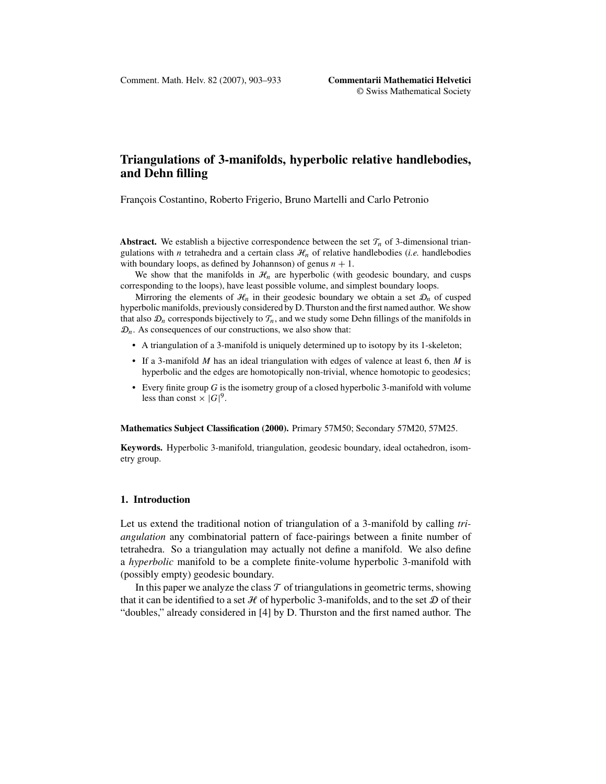# **Triangulations of 3-manifolds, hyperbolic relative handlebodies, and Dehn filling**

François Costantino, Roberto Frigerio, Bruno Martelli and Carlo Petronio

**Abstract.** We establish a bijective correspondence between the set  $\mathcal{T}_n$  of 3-dimensional triangulations with *n* tetrahedra and a certain class  $\mathcal{H}_n$  of relative handlebodies (*i.e.* handlebodies with boundary loops, as defined by Johannson) of genus  $n + 1$ .

We show that the manifolds in  $\mathcal{H}_n$  are hyperbolic (with geodesic boundary, and cusps corresponding to the loops), have least possible volume, and simplest boundary loops.

Mirroring the elements of  $\mathcal{H}_n$  in their geodesic boundary we obtain a set  $\mathcal{D}_n$  of cusped hyperbolic manifolds, previously considered by D. Thurston and the first named author. We show that also  $\mathcal{D}_n$  corresponds bijectively to  $\mathcal{T}_n$ , and we study some Dehn fillings of the manifolds in  $\mathcal{D}_n$ . As consequences of our constructions, we also show that:

- A triangulation of a 3-manifold is uniquely determined up to isotopy by its 1-skeleton;
- If a 3-manifold *M* has an ideal triangulation with edges of valence at least 6, then *M* is hyperbolic and the edges are homotopically non-trivial, whence homotopic to geodesics;
- Every finite group *G* is the isometry group of a closed hyperbolic 3-manifold with volume less than const  $\times |G|^9$ .

**Mathematics Subject Classification (2000).** Primary 57M50; Secondary 57M20, 57M25.

**Keywords.** Hyperbolic 3-manifold, triangulation, geodesic boundary, ideal octahedron, isometry group.

# **1. Introduction**

Let us extend the traditional notion of triangulation of a 3-manifold by calling *triangulation* any combinatorial pattern of face-pairings between a finite number of tetrahedra. So a triangulation may actually not define a manifold. We also define a *hyperbolic* manifold to be a complete finite-volume hyperbolic 3-manifold with (possibly empty) geodesic boundary.

In this paper we analyze the class  $\mathcal T$  of triangulations in geometric terms, showing that it can be identified to a set  $\mathcal H$  of hyperbolic 3-manifolds, and to the set  $\mathcal D$  of their "doubles," already considered in [\[4\]](#page-29-0) by D. Thurston and the first named author. The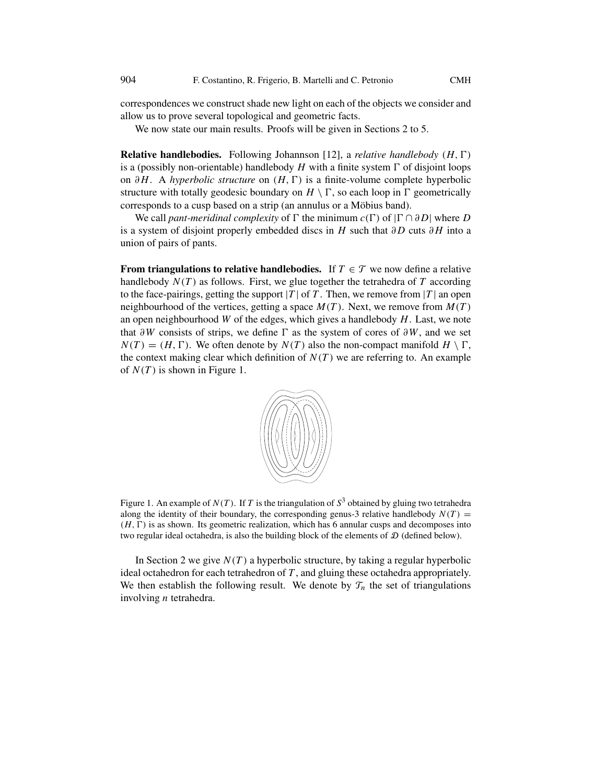<span id="page-1-0"></span>correspondences we construct shade new light on each of the objects we consider and allow us to prove several topological and geometric facts.

We now state our main results. Proofs will be given in Sections [2](#page-4-0) to [5.](#page-24-0)

**Relative handlebodies.** Following Johannson [\[12\]](#page-30-0), a *relative handlebody* (*H*,  $\Gamma$ ) is a (possibly non-orientable) handlebody *H* with a finite system  $\Gamma$  of disjoint loops<br>on  $\partial H$ . A hyperbolic structure on  $(H, \Gamma)$  is a finite-volume complete hyperbolic on *∂H*. A *hyperbolic structure* on  $(H, \Gamma)$  is a finite-volume complete hyperbolic structure with totally geodesic boundary on  $H \setminus \Gamma$  so each loop in  $\Gamma$  geometrically structure with totally geodesic boundary on  $H \setminus \Gamma$ , so each loop in  $\Gamma$  geometrically<br>corresponds to a cusp based on a strip (an appulus or a Möbius band) corresponds to a cusp based on a strip (an annulus or a Möbius band).

We call *pant-meridinal complexity* of  $\Gamma$  the minimum  $c(\Gamma)$  of  $|\Gamma \cap \partial D|$  where *D* system of disjoint properly embedded discs in *H* such that  $\partial D$  cuts  $\partial H$  into a is a system of disjoint properly embedded discs in *H* such that *∂D* cuts *∂H* into a union of pairs of pants.

**From triangulations to relative handlebodies.** If  $T \in \mathcal{T}$  we now define a relative handlebody  $N(T)$  as follows. First, we glue together the tetrahedra of  $T$  according to the face-pairings, getting the support  $|T|$  of  $T$ . Then, we remove from  $|T|$  an open neighbourhood of the vertices, getting a space  $M(T)$ . Next, we remove from  $M(T)$ an open neighbourhood *W* of the edges, which gives a handlebody *H*. Last, we note that  $\partial W$  consists of strips, we define  $\Gamma$  as the system of cores of  $\partial W$ , and we set  $N(T) - (H \Gamma)$ . We often denote by  $N(T)$  also the non-compact manifold  $H \setminus \Gamma$ .  $N(T) = (H, \Gamma)$ . We often denote by  $N(T)$  also the non-compact manifold  $H \setminus \Gamma$ , the context making clear which definition of  $N(T)$  we are referring to . An example the context making clear which definition of  $N(T)$  we are referring to. An example of  $N(T)$  is shown in Figure 1.



Figure 1. An example of  $N(T)$ . If T is the triangulation of  $S<sup>3</sup>$  obtained by gluing two tetrahedra along the identity of their boundary, the corresponding genus-3 relative handlebody  $N(T)$  = *(H, -*two regular ideal octahedra, is also the building block of the elements of D (defined below).  $(H, \Gamma)$  is as shown. Its geometric realization, which has 6 annular cusps and decomposes into

In Section [2](#page-4-0) we give  $N(T)$  a hyperbolic structure, by taking a regular hyperbolic ideal octahedron for each tetrahedron of *T* , and gluing these octahedra appropriately. We then establish the following result. We denote by  $\mathcal{T}_n$  the set of triangulations involving *n* tetrahedra.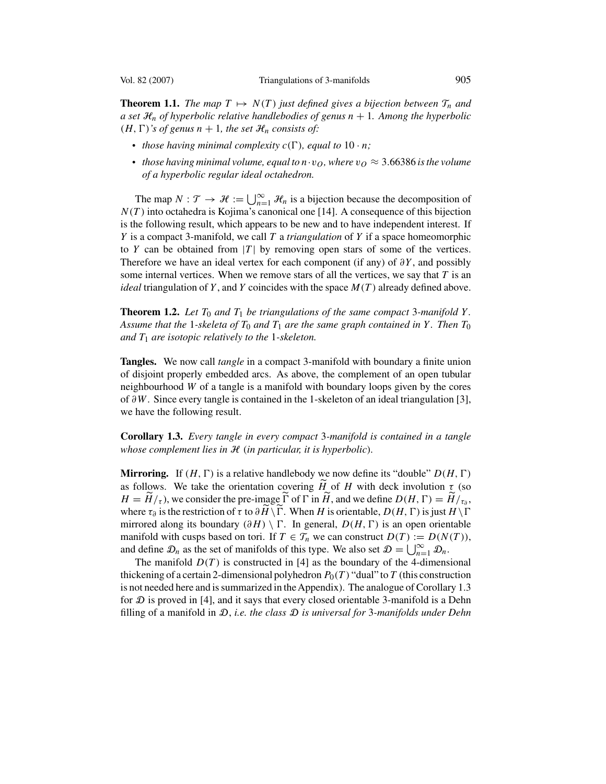<span id="page-2-0"></span>**Theorem 1.1.** *The map*  $T \mapsto N(T)$  *just defined gives a bijection between*  $\mathcal{T}_n$  *and a set*  $\mathcal{H}_n$  *of hyperbolic relative handlebodies of genus*  $n + 1$ *. Among the hyperbolic*  $(H, \Gamma)'$ *s of genus*  $n + 1$ *, the set*  $\mathcal{H}_n$  *consists of:* 

- *those having minimal complexity*  $c(\Gamma)$ *, equal to* 10 · *n*;
- *those having minimal volume, equal to*  $n \cdot v_O$ *, where*  $v_O \approx 3.66386$  *is the volume of a hyperbolic regular ideal octahedron.*

The map  $N : \mathcal{T} \to \mathcal{H} := \bigcup_{n=1}^{\infty} \mathcal{H}_n$  is a bijection because the decomposition of  $\mathcal{T}$ ) into octabedra is Kojima's canonical one [14]. A consequence of this bijection *N (T )* into octahedra is Kojima's canonical one [\[14\]](#page-30-0). A consequence of this bijection is the following result, which appears to be new and to have independent interest. If *Y* is a compact 3-manifold, we call *T* <sup>a</sup> *triangulation* of *Y* if a space homeomorphic to *Y* can be obtained from  $|T|$  by removing open stars of some of the vertices. Therefore we have an ideal vertex for each component (if any) of *∂Y* , and possibly some internal vertices. When we remove stars of all the vertices, we say that *T* is an *ideal* triangulation of *Y* , and *Y* coincides with the space *M(T )* already defined above.

**Theorem 1.2.** Let  $T_0$  and  $T_1$  be triangulations of the same compact 3-manifold Y. *Assume that the* 1-skeleta of  $T_0$  *and*  $T_1$  *are the same graph contained in Y*. Then  $T_0$ *and <sup>T</sup>*<sup>1</sup> *are isotopic relatively to the* <sup>1</sup>*-skeleton.*

**Tangles.** We now call *tangle* in a compact 3-manifold with boundary a finite union of disjoint properly embedded arcs. As above, the complement of an open tubular neighbourhood *W* of a tangle is a manifold with boundary loops given by the cores of *∂W*. Since every tangle is contained in the 1-skeleton of an ideal triangulation [\[3\]](#page-29-0), we have the following result.

**Corollary 1.3.** *Every tangle in every compact* 3*-manifold is contained in a tangle whose complement lies in*  $H$  *(in particular, it is hyperbolic).* 

**Mirroring.** If  $(H, \Gamma)$  is a relative handlebody we now define its "double"  $D(H, \Gamma)$ <br>as follows. We take the orientation covering  $\widetilde{H}$  of H with deck involution  $\tau$  (so as follows. We take the orientation covering  $\tilde{H}$  of *H* with deck involution  $\tau$  (so  $H - \tilde{H}$ ) we consider the pre-image  $\tilde{\Gamma}$  of  $\Gamma$  in  $\tilde{H}$  and we define  $D(H, \Gamma) - \tilde{H}$ )  $H = \dot{H}/\tau$ , we consider the pre-image  $\overline{\Gamma}$  of  $\Gamma$  in  $\overline{H}$ , and we define  $D(H, \Gamma) = \dot{H}/\tau_0$ ,<br>where  $\tau_0$  is the restriction of  $\tau$  to  $\partial \widetilde{H} \setminus \widetilde{\Gamma}$ . When *H* is orientable  $D(H, \Gamma)$  is just  $H \setminus \Gamma$ where  $\tau_{\partial}$  is the restriction of  $\tau$  to  $\partial H \setminus \Gamma$ . When *H* is orientable,  $D(H, \Gamma)$  is just  $H \setminus \Gamma$ <br>mirrored along its boundary  $(AH) \setminus \Gamma$ . In general,  $D(H, \Gamma)$  is an onen orientable mirrored along its boundary  $(\partial H) \setminus \Gamma$ . In general,  $D(H, \Gamma)$  is an open orientable manifold with cusps based on tori If  $T \in \mathcal{T}$  we can construct  $D(T) := D(N(T))$ manifold with cusps based on tori. If  $T \in \mathcal{T}_n$  we can construct  $D(T) := D(N(T))$ , and define  $\mathcal{D}_n$  as the set of manifolds of this type. We also set  $\mathcal{D} = \bigcup_{n=1}^{\infty} \mathcal{D}_n$ .<br>The manifold  $D(T)$  is constructed in [4] as the boundary of the 4-dimens

The manifold  $D(T)$  is constructed in [\[4\]](#page-29-0) as the boundary of the 4-dimensional thickening of a certain 2-dimensional polyhedron  $P_0(T)$  "dual" to *T* (this construction is not needed here and is summarized in the Appendix). The analogue of Corollary 1.3 for  $D$  is proved in [\[4\]](#page-29-0), and it says that every closed orientable 3-manifold is a Dehn filling of a manifold in D, *i.e. the class* D *is universal for* 3*-manifolds under Dehn*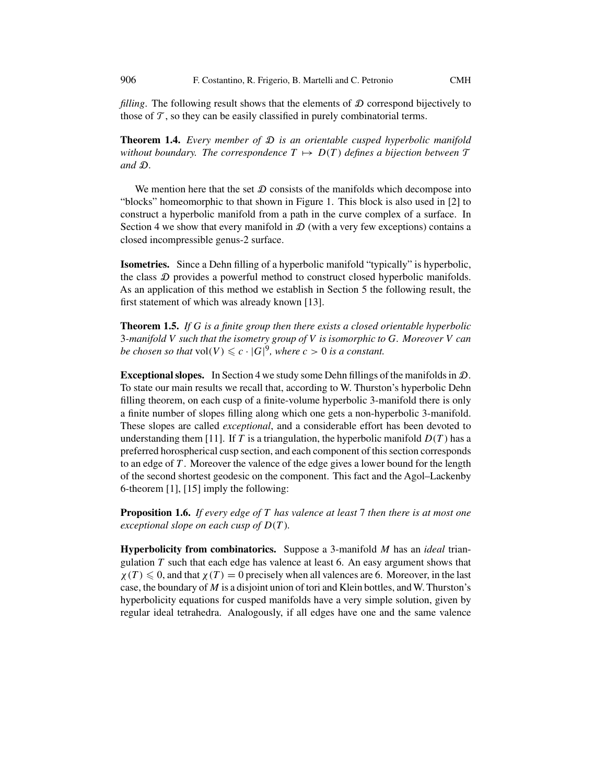*filling*. The following result shows that the elements of  $D$  correspond bijectively to those of  $\mathcal T$ , so they can be easily classified in purely combinatorial terms.

**Theorem 1.4.** *Every member of* D *is an orientable cusped hyperbolic manifold without boundary. The correspondence*  $T \mapsto D(T)$  *defines a bijection between*  $\mathcal T$ *and* D*.*

We mention here that the set  $D$  consists of the manifolds which decompose into "blocks" homeomorphic to that shown in Figure [1.](#page-1-0) This block is also used in [\[2\]](#page-29-0) to construct a hyperbolic manifold from a path in the curve complex of a surface. In Section [4](#page-20-0) we show that every manifold in  $\mathcal D$  (with a very few exceptions) contains a closed incompressible genus-2 surface.

**Isometries.** Since a Dehn filling of a hyperbolic manifold "typically" is hyperbolic, the class  $D$  provides a powerful method to construct closed hyperbolic manifolds. As an application of this method we establish in Section [5](#page-24-0) the following result, the first statement of which was already known [\[13\]](#page-30-0).

**Theorem 1.5.** *If G is a finite group then there exists a closed orientable hyperbolic* <sup>3</sup>*-manifold V such that the isometry group of V is isomorphic to G. Moreover V can be chosen so that*  $vol(V) \leqslant c \cdot |G|^9$ , where  $c > 0$  *is a constant.* 

**Exceptional slopes.** In Section [4](#page-20-0) we study some Dehn fillings of the manifolds in D. To state our main results we recall that, according to W. Thurston's hyperbolic Dehn filling theorem, on each cusp of a finite-volume hyperbolic 3-manifold there is only a finite number of slopes filling along which one gets a non-hyperbolic 3-manifold. These slopes are called *exceptional*, and a considerable effort has been devoted to understanding them [\[11\]](#page-30-0). If *T* is a triangulation, the hyperbolic manifold  $D(T)$  has a preferred horospherical cusp section, and each component of this section corresponds to an edge of *T* . Moreover the valence of the edge gives a lower bound for the length of the second shortest geodesic on the component. This fact and the Agol–Lackenby 6-theorem [\[1\]](#page-29-0), [\[15\]](#page-30-0) imply the following:

**Proposition 1.6.** *If every edge of T has valence at least* <sup>7</sup> *then there is at most one exceptional slope on each cusp of D(T ).*

**Hyperbolicity from combinatorics.** Suppose a 3-manifold *M* has an *ideal* triangulation *T* such that each edge has valence at least 6. An easy argument shows that  $\chi(T) \leq 0$ , and that  $\chi(T) = 0$  precisely when all valences are 6. Moreover, in the last case the boundary of *M* is a disjoint union of tori and Klein bottles, and W. Thurston's case, the boundary of *M* is a disjoint union of tori and Klein bottles, and W. Thurston's hyperbolicity equations for cusped manifolds have a very simple solution, given by regular ideal tetrahedra. Analogously, if all edges have one and the same valence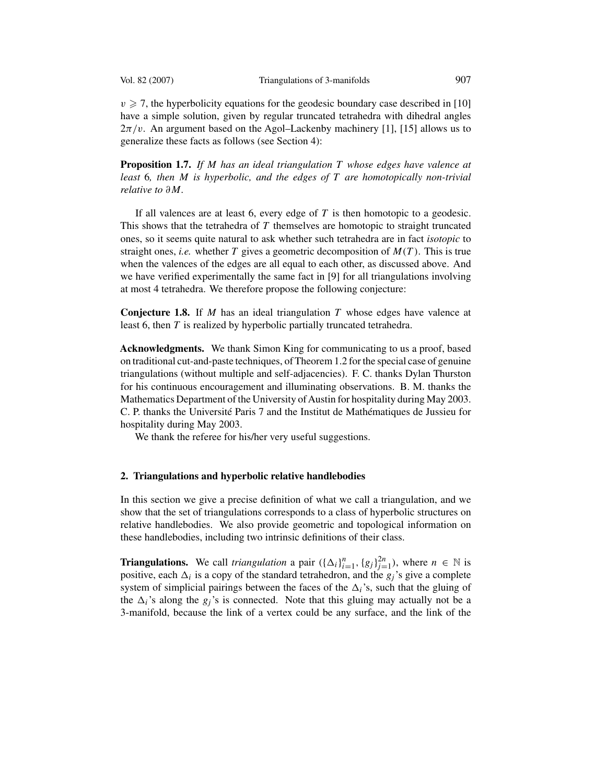<span id="page-4-0"></span>

 $v \ge 7$ , the hyperbolicity equations for the geodesic boundary case described in [\[10\]](#page-30-0) have a simple solution, given by regular truncated tetrahedra with dihedral angles  $2\pi/v$ . An argument based on the Agol–Lackenby machinery [\[1\]](#page-29-0), [\[15\]](#page-30-0) allows us to generalize these facts as follows (see Section [4\)](#page-20-0):

**Proposition 1.7.** *If M has an ideal triangulation T whose edges have valence at least* <sup>6</sup>*, then M is hyperbolic, and the edges of T are homotopically non-trivial relative to ∂M.*

If all valences are at least 6, every edge of *T* is then homotopic to a geodesic. This shows that the tetrahedra of *T* themselves are homotopic to straight truncated ones, so it seems quite natural to ask whether such tetrahedra are in fact *isotopic* to straight ones, *i.e.* whether *T* gives a geometric decomposition of  $M(T)$ . This is true when the valences of the edges are all equal to each other, as discussed above. And we have verified experimentally the same fact in [\[9\]](#page-29-0) for all triangulations involving at most 4 tetrahedra. We therefore propose the following conjecture:

**Conjecture 1.8.** If *M* has an ideal triangulation *T* whose edges have valence at least 6, then *T* is realized by hyperbolic partially truncated tetrahedra.

**Acknowledgments.** We thank Simon King for communicating to us a proof, based on traditional cut-and-paste techniques, of Theorem [1.2](#page-2-0) for the special case of genuine triangulations (without multiple and self-adjacencies). F. C. thanks Dylan Thurston for his continuous encouragement and illuminating observations. B. M. thanks the Mathematics Department of the University of Austin for hospitality during May 2003. C. P. thanks the Université Paris 7 and the Institut de Mathématiques de Jussieu for hospitality during May 2003.

We thank the referee for his/her very useful suggestions.

# **2. Triangulations and hyperbolic relative handlebodies**

In this section we give a precise definition of what we call a triangulation, and we show that the set of triangulations corresponds to a class of hyperbolic structures on relative handlebodies. We also provide geometric and topological information on these handlebodies, including two intrinsic definitions of their class.

**Triangulations.** We call *triangulation* a pair  $(\{\Delta_i\}_{i=1}^n, \{g_i\}_{j=1}^{2n})$ , where  $n \in \mathbb{N}$  is nositive each  $\Delta_i$  is a conv of the standard tetrahedron and the  $\varphi_i$ 's give a complete positive, each  $\Delta_i$  is a copy of the standard tetrahedron, and the  $g_i$ 's give a complete system of simplicial pairings between the faces of the  $\Delta_i$ 's, such that the gluing of the  $\Delta_i$ 's along the  $g_j$ 's is connected. Note that this gluing may actually not be a 3-manifold, because the link of a vertex could be any surface, and the link of the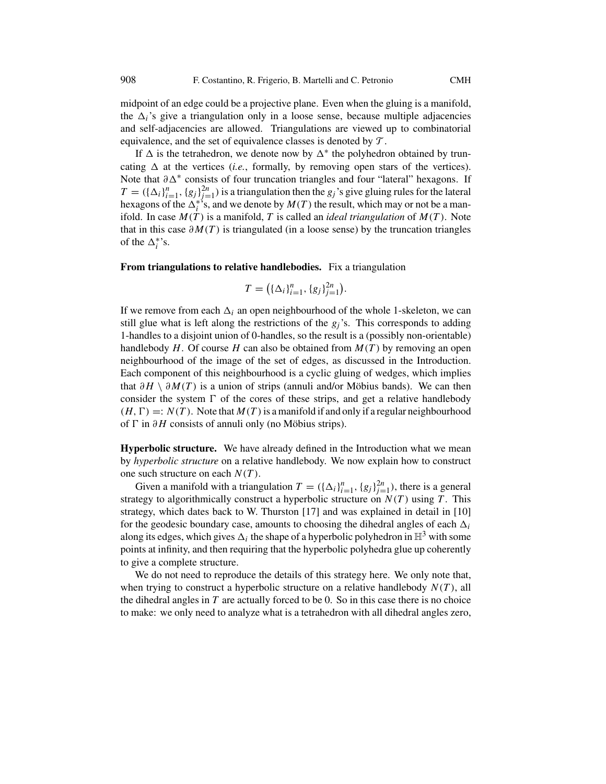midpoint of an edge could be a projective plane. Even when the gluing is a manifold, the  $\Delta_i$ 's give a triangulation only in a loose sense, because multiple adjacencies and self-adjacencies are allowed. Triangulations are viewed up to combinatorial equivalence, and the set of equivalence classes is denoted by  $\mathcal T$ .

If  $\Delta$  is the tetrahedron, we denote now by  $\Delta^*$  the polyhedron obtained by truncating  $\Delta$  at the vertices *(i.e.*, formally, by removing open stars of the vertices). Note that  $∂Δ<sup>*</sup>$  consists of four truncation triangles and four "lateral" hexagons. If  $T = (\{\Delta_i\}_{i=1}^n, \{g_j\}_{j=1}^{2n})$  is a triangulation then the *g<sub>j</sub>*'s give gluing rules for the lateral hexagons of the  $\Delta_i^{*s}$ s and we denote by  $M(T)$  the result which may or not be a manhexagons of the  $\Delta_i^{*}}$ 's, and we denote by  $M(T)$  the result, which may or not be a man-<br>ifold In case  $M(T)$  is a manifold T is called an *ideal triangulation* of  $M(T)$ . Note ifold. In case  $M(T)$  is a manifold, T is called an *ideal triangulation* of  $M(T)$ . Note that in this case  $\partial M(T)$  is triangulated (in a loose sense) by the truncation triangles of the  $\Delta_i^*$ 's.

# **From triangulations to relative handlebodies.** Fix a triangulation

$$
T = ((\Delta_i)_{i=1}^n, \{g_j\}_{j=1}^{2n})
$$

If we remove from each  $\Delta_i$  an open neighbourhood of the whole 1-skeleton, we can still glue what is left along the restrictions of the  $g_j$ 's. This corresponds to adding 1-handles to a disjoint union of 0-handles, so the result is a (possibly non-orientable) handlebody  $H$ . Of course  $H$  can also be obtained from  $M(T)$  by removing an open neighbourhood of the image of the set of edges, as discussed in the Introduction. Each component of this neighbourhood is a cyclic gluing of wedges, which implies that *∂H* \ *∂M(T )* is a union of strips (annuli and/or Möbius bands). We can then consider the system  $\Gamma$  of the cores of these strips, and get a relative handlebody<br>  $(H, \Gamma) - N(T)$ . Note that  $M(T)$  is a manifold if and only if a reqular neighbourhood *(H, -*of *-* in *∂H* consists of annuli only (no Möbius strips).  $(H, \Gamma) =: N(T)$ . Note that  $M(T)$  is a manifold if and only if a regular neighbourhood

**Hyperbolic structure.** We have already defined in the Introduction what we mean by *hyperbolic structure* on a relative handlebody. We now explain how to construct one such structure on each *N (T )*.

Given a manifold with a triangulation  $T = (\{\Delta_i\}_{i=1}^n, \{g_j\}_{j=1}^{2n})$ , there is a general tegy to algorithmically construct a hyperbolic structure on  $N(T)$  using T. This strategy to algorithmically construct a hyperbolic structure on *N (T )* using *T* . This strategy, which dates back to W. Thurston [\[17\]](#page-30-0) and was explained in detail in [\[10\]](#page-30-0) for the geodesic boundary case, amounts to choosing the dihedral angles of each  $\Delta_i$ along its edges, which gives  $\Delta_i$  the shape of a hyperbolic polyhedron in  $\mathbb{H}^3$  with some points at infinity, and then requiring that the hyperbolic polyhedra glue up coherently to give a complete structure.

We do not need to reproduce the details of this strategy here. We only note that, when trying to construct a hyperbolic structure on a relative handlebody  $N(T)$ , all the dihedral angles in *T* are actually forced to be 0. So in this case there is no choice to make: we only need to analyze what is a tetrahedron with all dihedral angles zero,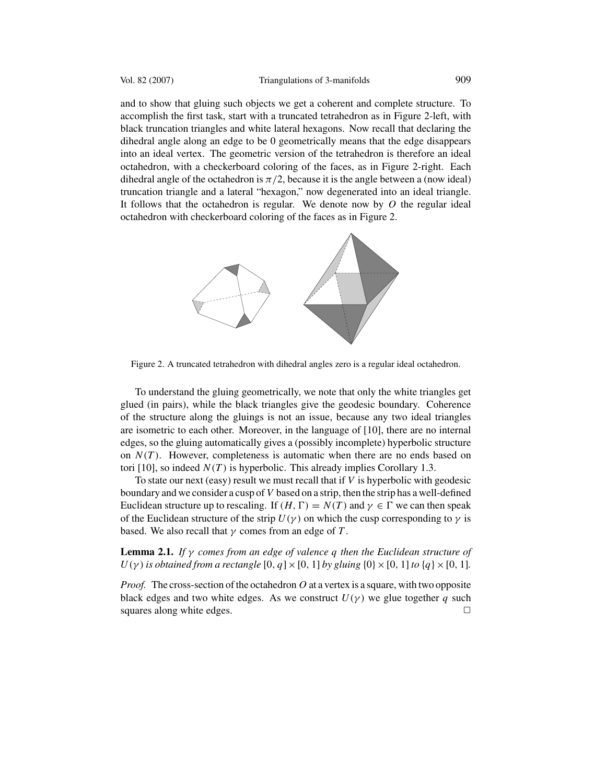<span id="page-6-0"></span>and to show that gluing such objects we get a coherent and complete structure. To accomplish the first task, start with a truncated tetrahedron as in Figure 2-left, with black truncation triangles and white lateral hexagons. Now recall that declaring the dihedral angle along an edge to be 0 geometrically means that the edge disappears into an ideal vertex. The geometric version of the tetrahedron is therefore an ideal octahedron, with a checkerboard coloring of the faces, as in Figure 2-right. Each dihedral angle of the octahedron is  $\pi/2$ , because it is the angle between a (now ideal) truncation triangle and a lateral "hexagon," now degenerated into an ideal triangle. It follows that the octahedron is regular. We denote now by *O* the regular ideal octahedron with checkerboard coloring of the faces as in Figure 2.



Figure 2. A truncated tetrahedron with dihedral angles zero is a regular ideal octahedron.

To understand the gluing geometrically, we note that only the white triangles get glued (in pairs), while the black triangles give the geodesic boundary. Coherence of the structure along the gluings is not an issue, because any two ideal triangles are isometric to each other. Moreover, in the language of [\[10\]](#page-30-0), there are no internal edges, so the gluing automatically gives a (possibly incomplete) hyperbolic structure on  $N(T)$ . However, completeness is automatic when there are no ends based on tori [\[10\]](#page-30-0), so indeed  $N(T)$  is hyperbolic. This already implies Corollary [1.3.](#page-2-0)

To state our next (easy) result we must recall that if *V* is hyperbolic with geodesic boundary and we consider a cusp of *V* based on a strip, then the strip has a well-defined Euclidean structure up to rescaling. If  $(H, \Gamma) = N(T)$  and  $\gamma \in \Gamma$  we can then speak of the Euclidean structure of the strip  $U(\gamma)$  on which the cusp corresponding to  $\gamma$  is of the Euclidean structure of the strip  $U(\gamma)$  on which the cusp corresponding to  $\gamma$  is based. We also recall that *γ* comes from an edge of *T* .

# **Lemma 2.1.** *If γ comes from an edge of valence q then the Euclidean structure of*  $U(\gamma)$  *is obtained from a rectangle* [0*, q*] × [0*,* 1] *by gluing* {0} × [0*,* 1] *to* {*q*} × [0*,* 1]*.*

*Proof.* The cross-section of the octahedron*O* at a vertex is a square, with two opposite black edges and two white edges. As we construct  $U(\gamma)$  we glue together *q* such squares along white edges squares along white edges.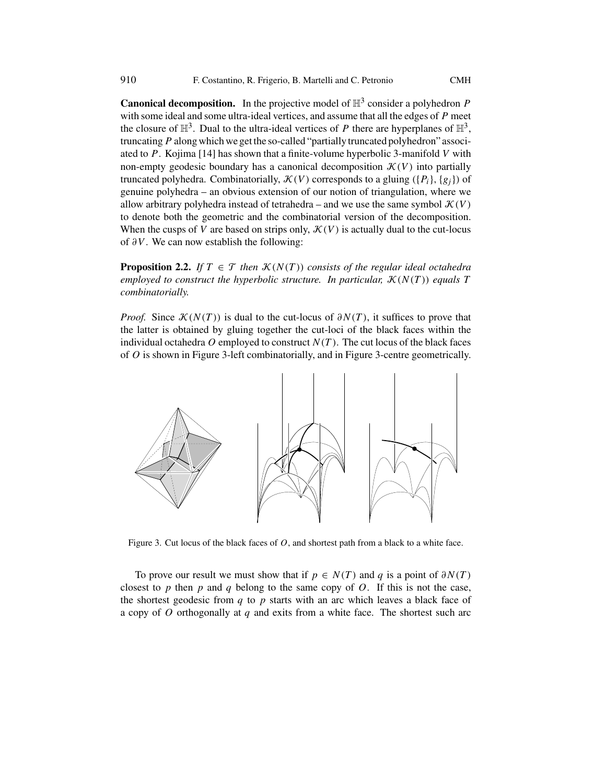<span id="page-7-0"></span>**Canonical decomposition.** In the projective model of  $\mathbb{H}^3$  consider a polyhedron *P* with some ideal and some ultra-ideal vertices, and assume that all the edges of *P* meet the closure of  $\mathbb{H}^3$ . Dual to the ultra-ideal vertices of *P* there are hyperplanes of  $\mathbb{H}^3$ , truncating*P* along which we get the so-called "partially truncated polyhedron" associated to *P*. Kojima [\[14\]](#page-30-0) has shown that a finite-volume hyperbolic 3-manifold *V* with non-empty geodesic boundary has a canonical decomposition  $\mathcal{K}(V)$  into partially truncated polyhedra. Combinatorially,  $\mathcal{K}(V)$  corresponds to a gluing  $({P_i}, {g_i})$  of genuine polyhedra – an obvious extension of our notion of triangulation, where we allow arbitrary polyhedra instead of tetrahedra – and we use the same symbol  $\mathcal{K}(V)$ to denote both the geometric and the combinatorial version of the decomposition. When the cusps of *V* are based on strips only,  $\mathcal{K}(V)$  is actually dual to the cut-locus of *∂V* . We can now establish the following:

**Proposition 2.2.** *If*  $T \in \mathcal{T}$  *then*  $\mathcal{K}(N(T))$  *consists of the regular ideal octahedra employed to construct the hyperbolic structure. In particular,*  $K(N(T))$  *equals T combinatorially.*

*Proof.* Since  $\mathcal{K}(N(T))$  is dual to the cut-locus of  $\partial N(T)$ , it suffices to prove that the latter is obtained by gluing together the cut-loci of the black faces within the individual octahedra  $O$  employed to construct  $N(T)$ . The cut locus of the black faces of *O* is shown in Figure 3-left combinatorially, and in Figure 3-centre geometrically.



Figure 3. Cut locus of the black faces of *O*, and shortest path from a black to a white face.

To prove our result we must show that if  $p \in N(T)$  and q is a point of  $\partial N(T)$ closest to  $p$  then  $p$  and  $q$  belong to the same copy of  $Q$ . If this is not the case, the shortest geodesic from *q* to *p* starts with an arc which leaves a black face of a copy of *O* orthogonally at *q* and exits from a white face. The shortest such arc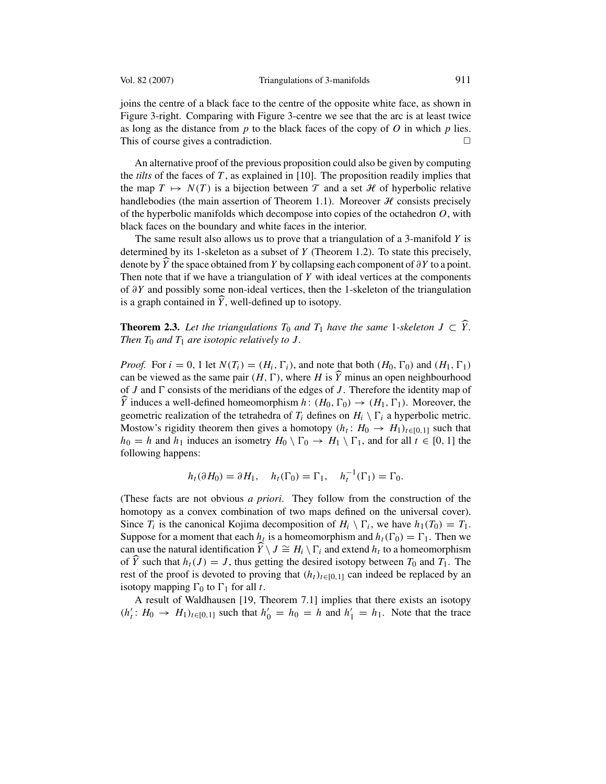joins the centre of a black face to the centre of the opposite white face, as shown in Figure [3-](#page-7-0)right. Comparing with Figure [3-](#page-7-0)centre we see that the arc is at least twice as long as the distance from *p* to the black faces of the copy of *O* in which *p* lies.<br>This of course gives a contradiction This of course gives a contradiction.

An alternative proof of the previous proposition could also be given by computing the *tilts* of the faces of *T* , as explained in [\[10\]](#page-30-0). The proposition readily implies that the map  $T \mapsto N(T)$  is a bijection between  $\mathcal T$  and a set  $\mathcal H$  of hyperbolic relative handlebodies (the main assertion of Theorem [1.1\)](#page-1-0). Moreover  $H$  consists precisely of the hyperbolic manifolds which decompose into copies of the octahedron *O*, with black faces on the boundary and white faces in the interior.

The same result also allows us to prove that a triangulation of a 3-manifold *Y* is determined by its 1-skeleton as a subset of *Y* (Theorem [1.2\)](#page-2-0). To state this precisely, denote by *Y* the space obtained from *Y* by collapsing each component of *∂Y* to a point.<br>Then note that if we have a triangulation of *Y* with ideal vertices at the components Then note that if we have a triangulation of *Y* with ideal vertices at the components of *∂Y* and possibly some non-ideal vertices, then the 1-skeleton of the triangulation is a graph contained in *Y* , well-defined up to isotopy.

**Theorem 2.3.** Let the triangulations  $T_0$  and  $T_1$  have the same 1-skeleton  $J \subset Y$ .<br>Then  $T_0$  and  $T_1$  are isotonic relatively to  $I$ *Then*  $T_0$  *and*  $T_1$  *are isotopic relatively to J.* 

*Proof.* For  $i = 0, 1$  let  $N(T_i) = (H_i, \Gamma_i)$ , and note that both  $(H_0, \Gamma_0)$  and  $(H_1, \Gamma_0)$  can be viewed as the same nair  $(H_1, \Gamma)$  where H is  $\hat{Y}$  minus an onen neighbourhood. 1*)* can be viewed as the same pair  $(H, \Gamma)$ , where *H* is *Y* minus an open neighbourhood of *I* and  $\Gamma$  consists of the meridians of the edges of *I*. Therefore the identity man of of *J* and  $\Gamma$  consists of the meridians of the edges of *J*. Therefore the identity map of  $\hat{V}$  induces a well-defined homeomorphism  $h : (H_0, \Gamma_0) \rightarrow (H_1, \Gamma_1)$ . Moreover the geometric realization of the tetrahedra of  $T_i$  defines on  $H_i \setminus \Gamma_i$  a hyperbolic metric.<br>Mostow's rigidity theorem then gives a homotopy  $(h_i : H_0 \rightarrow H_1)$ , such that *Y* induces a well-defined homeomorphism  $h: (H_0, \Gamma_0) \to (H_1, \Gamma_1)$ . Moreover, the secondition of the tetrahedra of *T*: defines on *H*:  $\Gamma$ : a hyperbolic metric Mostow's rigidity theorem then gives a homotopy  $(h_t: H_0 \to H_1)_{t \in [0,1]}$  such that  $h_0 = h$  and  $h_1$  induces an isometry  $H_0 \setminus \Gamma_0 \to H_1 \setminus \Gamma_1$ , and for all  $t \in [0, 1]$  the following happens: following happens:

$$
h_t(\partial H_0) = \partial H_1, \quad h_t(\Gamma_0) = \Gamma_1, \quad h_t^{-1}(\Gamma_1) = \Gamma_0.
$$

(These facts are not obvious *a priori*. They follow from the construction of the homotopy as a convex combination of two maps defined on the universal cover). Since  $T_i$  is the canonical Kojima decomposition of  $H_i \setminus \Gamma_i$ , we have  $h_1(T_0) = T_1$ .<br>Suppose for a moment that each  $h_i$  is a homeomorphism and  $h_i(\Gamma_0) = \Gamma_i$ . Then we Suppose for a moment that each  $h_t$  is a homeomorphism and  $h_t(\Gamma_0) = \Gamma_1$ . Then we can use the natural identification  $\widehat{Y} \setminus I \cong H \setminus \Gamma$ , and extend *h*, to a homeomorphism can use the natural identification  $\hat{Y} \setminus J \cong H_i \setminus \Gamma_i$  and extend  $h_t$  to a homeomorphism of  $\hat{Y}$  such that  $h_t(I) = I$  thus getting the desired isotopy between  $T_0$  and  $T_1$ . The of  $\hat{Y}$  such that  $h_t(J) = J$ , thus getting the desired isotopy between  $T_0$  and  $T_1$ . The rest of the proof is devoted to proving that  $(h_t)_{t\geq 0}$  is can indeed be replaced by an rest of the proof is devoted to proving that  $(h_t)_{t \in [0,1]}$  can indeed be replaced by an  $\frac{1}{2}$  isotopy mapping  $\Gamma_0$  to  $\Gamma_1$  for all *t*.<br>  $\Delta$  result of Waldhausen [19]

A result of Waldhausen [\[19,](#page-30-0) Theorem 7.1] implies that there exists an isotopy  $(h'_t: H_0 → H_1)_{t \in [0,1]}$  such that  $h'_0 = h_0 = h$  and  $h'_1 = h_1$ . Note that the trace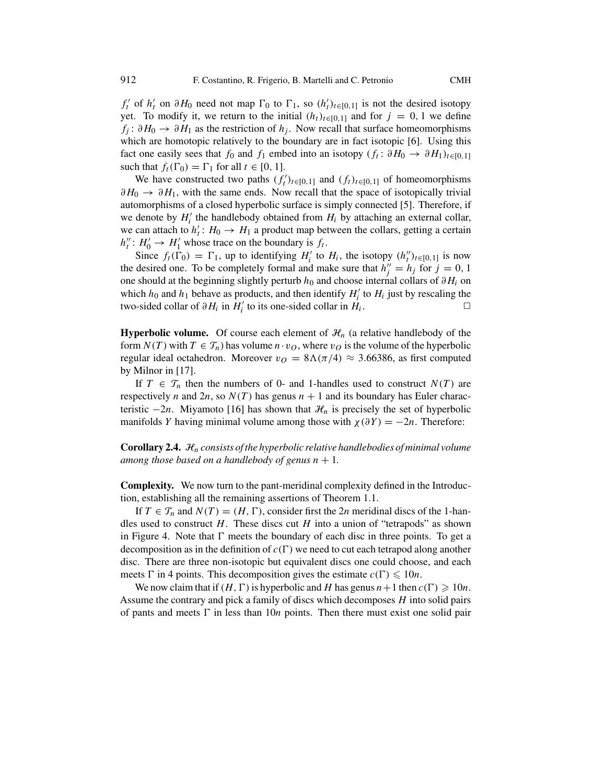*f*<sub>t</sub> of *h*<sub>t</sub><sup>*t*</sup> on *∂H*<sub>0</sub> need not map  $\Gamma_0$  to  $\Gamma_1$ , so  $(h'_t)_{t \in [0,1]}$  is not the desired isotopy vet. To modify it, we return to the initial  $(h_t)$ , so u and for  $i = 0, 1$  we define yet. To modify it, we return to the initial  $(h_t)_{t\in[0,1]}$  and for  $j=0,1$  we define  $f_i: \partial H_0 \to \partial H_1$  as the restriction of  $h_i$ . Now recall that surface homeomorphisms which are homotopic relatively to the boundary are in fact isotopic [\[6\]](#page-29-0). Using this fact one easily sees that  $f_0$  and  $f_1$  embed into an isotopy  $(f_t: \partial H_0 \to \partial H_1)_{t \in [0,1]}$ such that  $f_t(\Gamma_0) = \Gamma_1$  for all  $t \in [0, 1]$ .<br>We have constructed two paths (*f*)

We have constructed two paths  $(f_t')_{t \in [0,1]}$  and  $(f_t)_{t \in [0,1]}$  of homeomorphisms  $\lambda \to \lambda H$ , with the same ends. Now recall that the space of isotopically trivial  $\partial H_0 \to \partial H_1$ , with the same ends. Now recall that the space of isotopically trivial automorphisms of a closed hyperbolic surface is simply connected [\[5\]](#page-29-0). Therefore, if we denote by  $H'_i$  the handlebody obtained from  $H_i$  by attaching an external collar,<br>we can attach to  $h' : H_0 \to H_1$  a product man between the collars getting a certain we can attach to  $h'_t$ :  $H_0 \to H_1$  a product map between the collars, getting a certain  $h'' \colon H' \to H'$  whose trace on the boundary is f.  $h_t''$ :  $H_0' \rightarrow H_1'$  whose trace on the boundary is  $f_t$ .<br>Since  $f_t(F_0) = F_t$ , up to identifying  $H'$  to

Since  $f_t(\Gamma_0) = \Gamma_1$ , up to identifying  $H'_i$  to  $H_i$ , the isotopy  $(h''_t)_{t \in [0,1]}$  is now desired one. To be completely formal and make sure that  $h'' = h_i$  for  $i = 0, 1$ the desired one. To be completely formal and make sure that  $h''_j = h_j$  for  $j = 0, 1$ <br>one should at the beginning slightly perturb  $h_0$  and choose internal collars of  $\partial H_i$  on one should at the beginning slightly perturb *<sup>h</sup>*<sup>0</sup> and choose internal collars of *∂Hi* on which  $h_0$  and  $h_1$  behave as products, and then identify  $H'_i$  to  $H_i$  just by rescaling the two-sided collar of  $\partial H_i$  in  $H'_i$  to its one-sided collar in  $H_i$ two-sided collar of  $\partial H_i$  in  $H'_i$  to its one-sided collar in  $H_i$ .

**Hyperbolic volume.** Of course each element of  $\mathcal{H}_n$  (a relative handlebody of the form  $N(T)$  with  $T \in \mathcal{T}_n$ ) has volume  $n \cdot v_O$ , where  $v_O$  is the volume of the hyperbolic regular ideal octahedron. Moreover  $v_O = 8\Lambda(\pi/4) \approx 3.66386$ , as first computed by Milnor in [\[17\]](#page-30-0).

If  $T \in \mathcal{T}_n$  then the numbers of 0- and 1-handles used to construct  $N(T)$  are respectively *n* and  $2n$ , so  $N(T)$  has genus  $n + 1$  and its boundary has Euler characteristic  $-2n$ . Miyamoto [\[16\]](#page-30-0) has shown that  $\mathcal{H}_n$  is precisely the set of hyperbolic manifolds *Y* having minimal volume among those with  $\chi(\partial Y) = -2n$ . Therefore:

**Corollary 2.4.** <sup>H</sup>*n consists of the hyperbolic relative handlebodies of minimal volume among those based on a handlebody of genus*  $n + 1$ .

**Complexity.** We now turn to the pant-meridinal complexity defined in the Introduction, establishing all the remaining assertions of Theorem [1.1.](#page-1-0)

If  $T \in \mathcal{T}_n$  and  $N(T) = (H, \Gamma)$ , consider first the 2*n* meridinal discs of the 1-han-<br>sused to construct H. These discs cut H into a union of "tetranods" as shown dles used to construct *H*. These discs cut *H* into a union of "tetrapods" as shown in Figure [4.](#page-10-0) Note that  $\Gamma$  meets the boundary of each disc in three points. To get a<br>decomposition as in the definition of  $c(\Gamma)$  we need to cut each tetranod along another decomposition as in the definition of  $c(\Gamma)$  we need to cut each tetrapod along another disc. There are three non-isotopic but equivalent discs one could choose, and each disc. There are three non-isotopic but equivalent discs one could choose, and each meets  $\Gamma$  in 4 points. This decomposition gives the estimate  $c(\Gamma) \leq 10n$ .<br>We now claim that if  $(H, \Gamma)$  is hyperbolic and H has genus  $n+1$  then c

We now claim that if  $(H, \Gamma)$  is hyperbolic and *H* has genus  $n+1$  then  $c(\Gamma) \geq 10n$ . Assume the contrary and pick a family of discs which decomposes *H* into solid pairs of pants and meets  $\Gamma$  in less than 10*n* points. Then there must exist one solid pair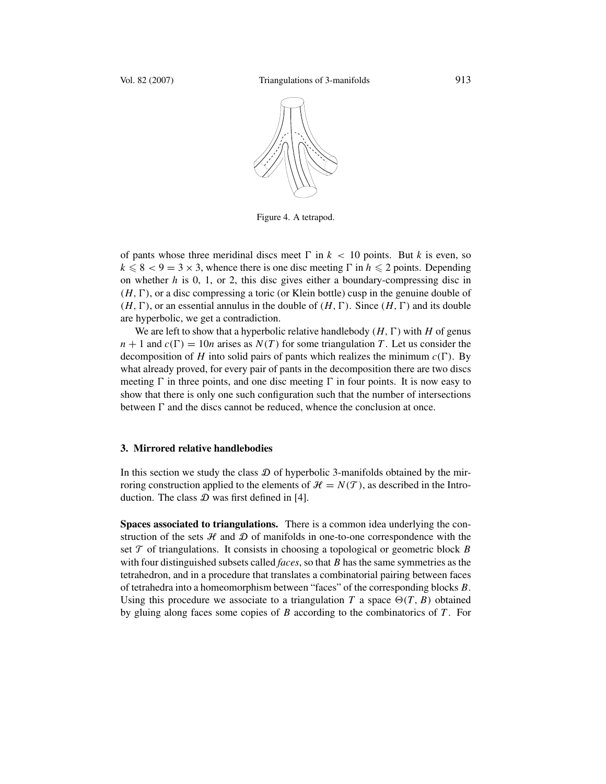<span id="page-10-0"></span>

Figure 4. A tetrapod.

of pants whose three meridinal discs meet  $\Gamma$  in  $k < 10$  points. But *k* is even, so  $k < 8 < 9 - 3 \times 3$  whence there is one disc meeting  $\Gamma$  in  $h < 2$  points. Depending  $k \leq 8 < 9 = 3 \times 3$ , whence there is one disc meeting  $\Gamma$  in  $h \leq 2$  points. Depending<br>on whether *h* is 0, 1, or 2, this disc gives either a houndary-compressing disc in on whether *h* is 0, 1, or 2, this disc gives either a boundary-compressing disc in  $(H, \Gamma)$ , or an essential annulus in the double of  $(H, \Gamma)$ . Since  $(H, \Gamma)$  and its double<br>are hyperbolic, we get a contradiction  $(H, \Gamma)$ , or a disc compressing a toric (or Klein bottle) cusp in the genuine double of *(H, -*are hyperbolic, we get a contradiction.

We are left to show that a hyperbolic relative handlebody  $(H, \Gamma)$  with *H* of genus<br>  $\cdot 1$  and  $c(\Gamma) = 10n$  arises as  $N(T)$  for some triangulation *T*. Let us consider the  $n + 1$  and  $c(\Gamma) = 10n$  arises as  $N(T)$  for some triangulation *T*. Let us consider the decomposition of *H* into solid pairs of pants which realizes the minimum  $c(\Gamma)$ . By decomposition of *H* into solid pairs of pants which realizes the minimum  $c(\Gamma)$ . By what already proved, for every pair of pants in the decomposition there are two discs meeting  $\Gamma$  in three points, and one disc meeting  $\Gamma$  in four points. It is now easy to show that there is only one such configuration such that the number of intersections show that there is only one such configuration such that the number of intersections between  $\Gamma$  and the discs cannot be reduced, whence the conclusion at once.

## **3. Mirrored relative handlebodies**

In this section we study the class  $\mathcal D$  of hyperbolic 3-manifolds obtained by the mirroring construction applied to the elements of  $\mathcal{H} = N(\mathcal{T})$ , as described in the Introduction. The class  $D$  was first defined in [\[4\]](#page-29-0).

**Spaces associated to triangulations.** There is a common idea underlying the construction of the sets  $H$  and  $D$  of manifolds in one-to-one correspondence with the set  $T$  of triangulations. It consists in choosing a topological or geometric block  $B$ with four distinguished subsets called *faces*, so that *B* has the same symmetries as the tetrahedron, and in a procedure that translates a combinatorial pairing between faces of tetrahedra into a homeomorphism between "faces" of the corresponding blocks *B*. Using this procedure we associate to a triangulation *T* a space  $\Theta(T, B)$  obtained<br>by gluing along faces some copies of *B* according to the combinatories of *T*. For by gluing along faces some copies of *B* according to the combinatorics of *T* . For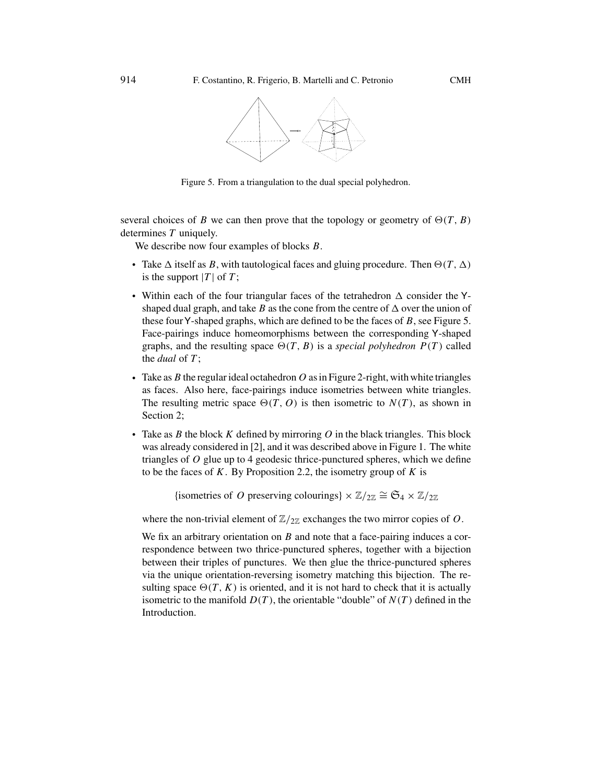<span id="page-11-0"></span>

Figure 5. From a triangulation to the dual special polyhedron.

several choices of *B* we can then prove that the topology or geometry of  $\Theta(T, B)$ <br>determines *T* uniquely determines *T* uniquely.

We describe now four examples of blocks *B*.

- Take  $\Delta$  itself as *B*, with tautological faces and gluing procedure. Then  $\Theta(T, \Delta)$  is the support  $|T|$  of  $T$ : is the support  $|T|$  of  $T$ ;
- Within each of the four triangular faces of the tetrahedron  $\Delta$  consider the Yshaped dual graph, and take *B* as the cone from the centre of  $\Delta$  over the union of these fourY-shaped graphs, which are defined to be the faces of *B*, see Figure 5. Face-pairings induce homeomorphisms between the corresponding Y-shaped graphs, and the resulting space  $\Theta(T, B)$  is a *special polyhedron*  $P(T)$  called<br>the *dual* of  $T$ the *dual* of *T* ;
- Take as  $B$  the regular ideal octahedron  $O$  as in Figure [2-](#page-6-0)right, with white triangles as faces. Also here, face-pairings induce isometries between white triangles. The resulting metric space  $\Theta(T, O)$  is then isometric to  $N(T)$ , as shown in Section 2: Section [2;](#page-4-0)
- Take as *B* the block *K* defined by mirroring *O* in the black triangles. This block was already considered in [\[2\]](#page-29-0), and it was described above in Figure [1.](#page-1-0) The white triangles of *O* glue up to 4 geodesic thrice-punctured spheres, which we define to be the faces of *K*. By Proposition [2.2,](#page-7-0) the isometry group of *K* is

{isometries of *O* preserving colourings}  $\times \mathbb{Z}/_{2\mathbb{Z}} \cong \mathfrak{S}_4 \times \mathbb{Z}/_{2\mathbb{Z}}$ 

where the non-trivial element of  $\mathbb{Z}/_{2\mathbb{Z}}$  exchanges the two mirror copies of *O*.

We fix an arbitrary orientation on *B* and note that a face-pairing induces a correspondence between two thrice-punctured spheres, together with a bijection between their triples of punctures. We then glue the thrice-punctured spheres via the unique orientation-reversing isometry matching this bijection. The resulting space  $\Theta(T, K)$  is oriented, and it is not hard to check that it is actually<br>isometric to the manifold  $D(T)$ , the orientable "double" of  $N(T)$  defined in the isometric to the manifold  $D(T)$ , the orientable "double" of  $N(T)$  defined in the Introduction.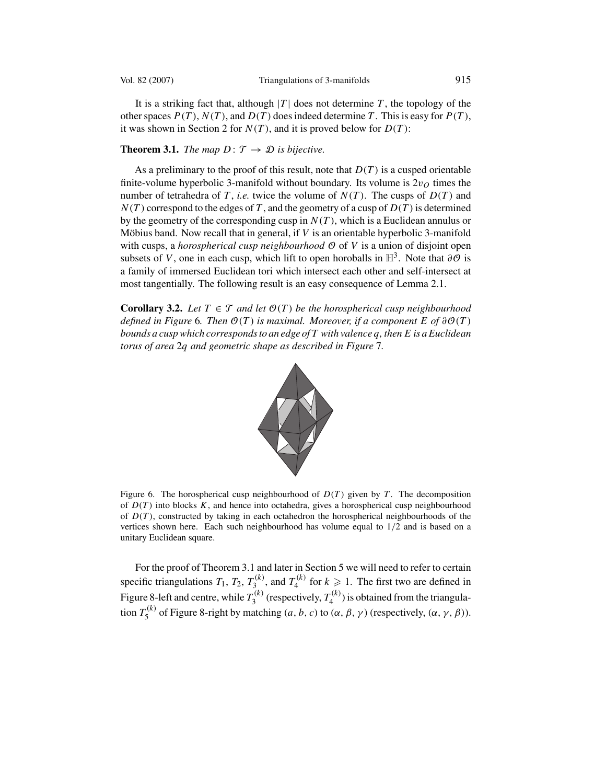<span id="page-12-0"></span>

It is a striking fact that, although  $|T|$  does not determine  $T$ , the topology of the other spaces  $P(T)$ ,  $N(T)$ , and  $D(T)$  does indeed determine *T*. This is easy for  $P(T)$ , it was shown in Section [2](#page-4-0) for  $N(T)$ , and it is proved below for  $D(T)$ :

#### **Theorem 3.1.** *The map*  $D: \mathcal{T} \rightarrow \mathcal{D}$  *is bijective.*

As a preliminary to the proof of this result, note that *D(T )* is a cusped orientable finite-volume hyperbolic 3-manifold without boundary. Its volume is  $2v<sub>O</sub>$  times the number of tetrahedra of *T*, *i.e.* twice the volume of  $N(T)$ . The cusps of  $D(T)$  and  $N(T)$  correspond to the edges of T, and the geometry of a cusp of  $D(T)$  is determined by the geometry of the corresponding cusp in  $N(T)$ , which is a Euclidean annulus or Möbius band. Now recall that in general, if *V* is an orientable hyperbolic 3-manifold with cusps, a *horospherical cusp neighbourhood*  $\Theta$  of V is a union of disjoint open subsets of *V*, one in each cusp, which lift to open horoballs in  $\mathbb{H}^3$ . Note that  $\partial \mathcal{O}$  is a family of immersed Euclidean tori which intersect each other and self-intersect at most tangentially. The following result is an easy consequence of Lemma [2.1.](#page-6-0)

**Corollary 3.2.** *Let*  $T \in \mathcal{T}$  *and let*  $\mathcal{O}(T)$  *be the horospherical cusp neighbourhood*  $\alpha$  *defined in Figure* 6*. Then*  $\mathcal{O}(T)$  *is maximal. Moreover, if a component*  $E$  *of*  $\partial \mathcal{O}(T)$ *bounds a cusp which corresponds to an edge of T with valence q, then E is a Euclidean torus of area* <sup>2</sup>*q and geometric shape as described in Figure* [7](#page-13-0)*.*



Figure 6. The horospherical cusp neighbourhood of  $D(T)$  given by *T*. The decomposition of  $D(T)$  into blocks  $K$ , and hence into octahedra, gives a horospherical cusp neighbourhood of  $D(T)$ , constructed by taking in each octahedron the horospherical neighbourhoods of the vertices shown here. Each such neighbourhood has volume equal to 1*/*2 and is based on a unitary Euclidean square.

For the proof of Theorem 3.1 and later in Section [5](#page-24-0) we will need to refer to certain specific triangulations  $T_1$ ,  $T_2$ ,  $T_3^{(k)}$ , and  $T_4^{(k)}$  for  $k \ge 1$ . The first two are defined in Figure [8-](#page-13-0)left and centre, while  $T_3^{(k)}$  (respectively,  $T_4^{(k)}$ ) is obtained from the triangulation  $T_5^{(k)}$  of Figure [8-](#page-13-0)right by matching  $(a, b, c)$  to  $(\alpha, \beta, \gamma)$  (respectively,  $(\alpha, \gamma, \beta)$ ).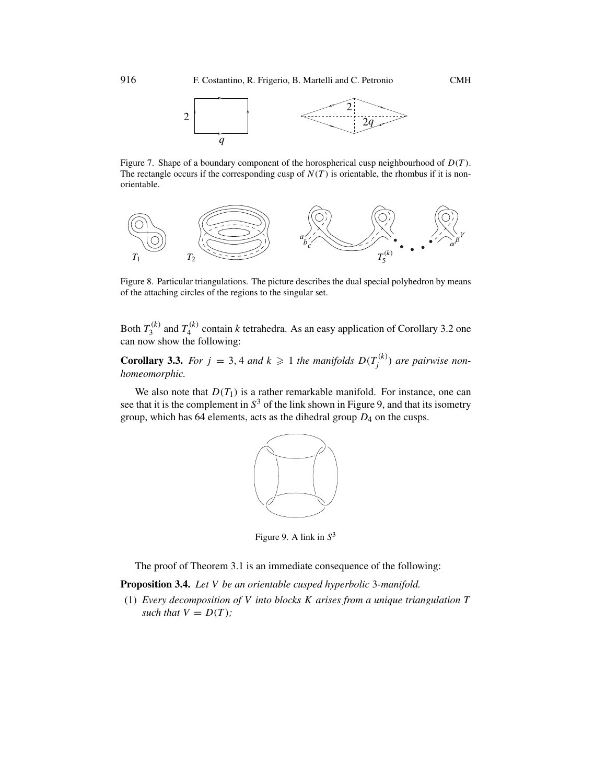

<span id="page-13-0"></span>Figure 7. Shape of a boundary component of the horospherical cusp neighbourhood of *D(T )*. The rectangle occurs if the corresponding cusp of  $N(T)$  is orientable, the rhombus if it is nonorientable.



Figure 8. Particular triangulations. The picture describes the dual special polyhedron by means of the attaching circles of the regions to the singular set.

Both  $T_3^{(k)}$  and  $T_4^{(k)}$  contain *k* tetrahedra. As an easy application of Corollary [3.2](#page-12-0) one can now show the following:

**Corollary 3.3.** For  $j = 3, 4$  and  $k \ge 1$  the manifolds  $D(T_j^{(k)})$  are pairwise non-homeomorphic *homeomorphic.*

We also note that  $D(T_1)$  is a rather remarkable manifold. For instance, one can see that it is the complement in  $S<sup>3</sup>$  of the link shown in Figure 9, and that its isometry group, which has 64 elements, acts as the dihedral group *<sup>D</sup>*<sup>4</sup> on the cusps.



Figure 9. A link in *S*<sup>3</sup>

The proof of Theorem [3.1](#page-12-0) is an immediate consequence of the following:

**Proposition 3.4.** *Let V be an orientable cusped hyperbolic* <sup>3</sup>*-manifold.*

(1) *Every decomposition of V into blocks K arises from a unique triangulation T such that*  $V = D(T)$ *;*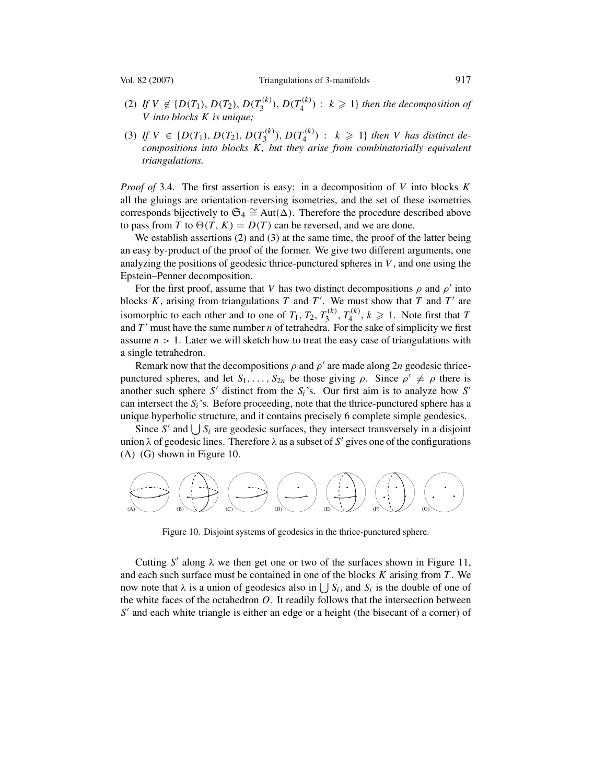<span id="page-14-0"></span>

- (2) If  $V \notin \{D(T_1), D(T_2), D(T_3^{(k)}), D(T_4^{(k)}) : k \geq 1\}$  then the decomposition of  $V$  into blocks  $K$  is unique: *V into blocks K is unique;*
- (3) If  $V \in \{D(T_1), D(T_2), D(T_3^{(k)}), D(T_4^{(k)}) : k \geq 1\}$  then *V* has distinct decompositions into blocks *K*, but they grise from combinatorially equivalent *compositions into blocks K, but they arise from combinatorially equivalent triangulations.*

*Proof of* [3.4.](#page-13-0) The first assertion is easy: in a decomposition of *V* into blocks *K* all the gluings are orientation-reversing isometries, and the set of these isometries corresponds bijectively to  $\mathfrak{S}_4 \cong \text{Aut}(\Delta)$ . Therefore the procedure described above to pass from *T* to  $\Theta(T, K) = D(T)$  can be reversed, and we are done.<br>We establish assertions (2) and (3) at the same time, the proof of the

We establish assertions (2) and (3) at the same time, the proof of the latter being an easy by-product of the proof of the former. We give two different arguments, one analyzing the positions of geodesic thrice-punctured spheres in *V* , and one using the Epstein–Penner decomposition.

For the first proof, assume that *V* has two distinct decompositions  $\rho$  and  $\rho'$  into blocks *K*, arising from triangulations *T* and *T'*. We must show that *T* and *T'* are isomorphic to seek other and to spe of *T*. *T*. *T*<sup>(k)</sup> *T*<sup>(k)</sup> *L* > 1. Note first that *T*. isomorphic to each other and to one of  $T_1, T_2, T_3^{(k)}, T_4^{(k)}, k \geq 1$ . Note first that *T* and *T'* must have the same number *n* of tetrahedra. For the sake of simplicity we first and *T'* must have the same number *n* of tetrahedra. For the sake of simplicity we first<br>assume  $n > 1$ . Later we will sketch how to treat the easy case of triangulations with assume  $n > 1$ . Later we will sketch how to treat the easy case of triangulations with a single tetrahedron.

Remark now that the decompositions  $\rho$  and  $\rho'$  are made along 2*n* geodesic thricepunctured spheres, and let  $S_1, \ldots, S_{2n}$  be those giving  $\rho$ . Since  $\rho' \neq \rho$  there is another such sphere S' distinct from the  $S_i$ 's. Our first aim is to analyze how S' can intersect the *Si*'s. Before proceeding, note that the thrice-punctured sphere has a unique hyperbolic structure, and it contains precisely 6 complete simple geodesics.

Since *S'* and  $\bigcup S_i$  are geodesic surfaces, they intersect transversely in a disjoint<br>on  $\lambda$  of geodesic lines. Therefore  $\lambda$  as a subset of *S'* gives one of the configurations union  $\lambda$  of geodesic lines. Therefore  $\lambda$  as a subset of *S'* gives one of the configurations  $(A)$ – $(G)$  shown in Figure 10.



Figure 10. Disjoint systems of geodesics in the thrice-punctured sphere.

Cutting  $S'$  along  $\lambda$  we then get one or two of the surfaces shown in Figure [11,](#page-15-0) and each such surface must be contained in one of the blocks *K* arising from *T* . We now note that  $\lambda$  is a union of geodesics also in  $\bigcup S_i$ , and  $S_i$  is the double of one of the white faces of the octahedron O. It readily follows that the intersection between the white faces of the octahedron *O*. It readily follows that the intersection between *S'* and each white triangle is either an edge or a height (the bisecant of a corner) of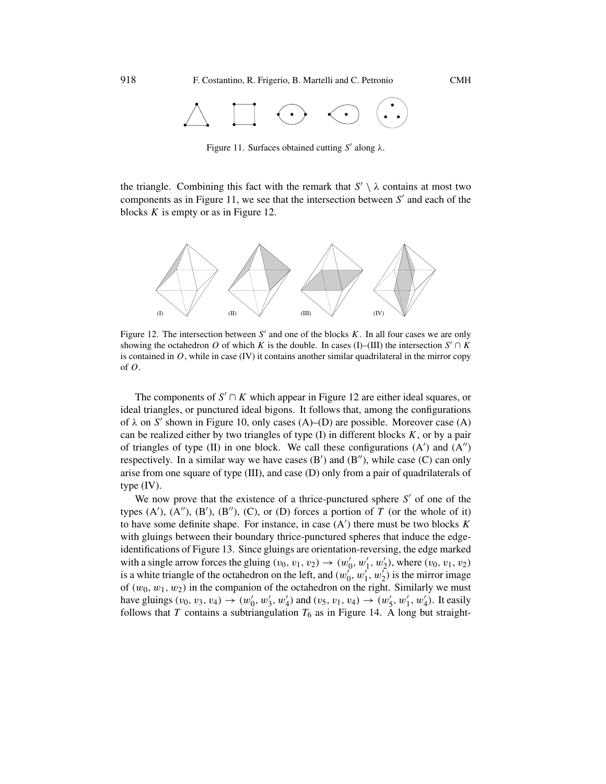<span id="page-15-0"></span>

Figure 11. Surfaces obtained cutting *S'* along λ.

the triangle. Combining this fact with the remark that  $S' \setminus \lambda$  contains at most two components as in Figure 11, we see that the intersection between  $S'$  and each of the blocks *K* is empty or as in Figure 12.



Figure 12. The intersection between  $S'$  and one of the blocks  $K$ . In all four cases we are only showing the octahedron *O* of which *K* is the double. In cases (I)–(III) the intersection  $S' \cap K$ is contained in  $O$ , while in case (IV) it contains another similar quadrilateral in the mirror copy of *O*.

The components of  $S' \cap K$  which appear in Figure 12 are either ideal squares, or ideal triangles, or punctured ideal bigons. It follows that, among the configurations of  $\lambda$  on S' shown in Figure [10,](#page-14-0) only cases (A)–(D) are possible. Moreover case (A) can be realized either by two triangles of type  $(I)$  in different blocks  $K$ , or by a pair of triangles of type  $(II)$  in one block. We call these configurations  $(A')$  and  $(A'')$ respectively. In a similar way we have cases  $(B')$  and  $(B'')$ , while case  $(C)$  can only arise from one square of type (III), and case (D) only from a pair of quadrilaterals of type (IV).

We now prove that the existence of a thrice-punctured sphere  $S'$  of one of the types  $(A')$ ,  $(A'')$ ,  $(B')$ ,  $(B'')$ ,  $(C)$ , or  $(D)$  forces a portion of *T* (or the whole of it) to have some definite shape. For instance in case  $(A')$  there must be two blocks *K* to have some definite shape. For instance, in case  $(A')$  there must be two blocks  $K$  with gluings between their boundary thrice-punctured spheres that induce the edgewith gluings between their boundary thrice-punctured spheres that induce the edgeidentifications of Figure [13.](#page-16-0) Since gluings are orientation-reversing, the edge marked with a single arrow forces the gluing  $(v_0, v_1, v_2) \rightarrow (w'_0, w'_1, w'_2)$ , where  $(v_0, v_1, v_2)$ <br>is a white triangle of the octahedron on the left and  $(w'_1, w'_2)$  is the mirror image is a white triangle of the octahedron on the left, and  $(w_0^{\prime}, w_1^{\prime}, w_2^{\prime})$  is the mirror image<br>of  $(w_0, w_1, w_2)$  in the companion of the octahedron on the right. Similarly we must of  $(w_0, w_1, w_2)$  in the companion of the octahedron on the right. Similarly we must have gluings  $(v_0, v_3, v_4) \rightarrow (w'_0, w'_3, w'_4)$  and  $(v_5, v_1, v_4) \rightarrow (w'_5, w'_1, w'_4)$ . It easily follows that T contains a subtriangulation  $T_c$  as in Figure 14. A long but straightfollows that *T* contains a subtriangulation  $T_6$  as in Figure [14.](#page-16-0) A long but straight-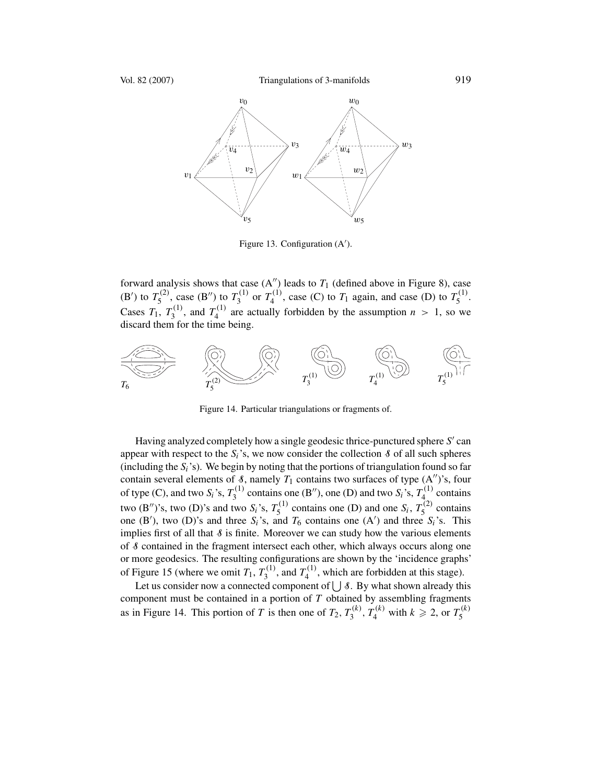<span id="page-16-0"></span>

Figure 13. Configuration (A').

forward analysis shows that case  $(A'')$  leads to  $T_1$  (defined above in Figure [8\)](#page-13-0), case (B') to  $T_5^{(2)}$ , case (B'') to  $T_3^{(1)}$  or  $T_4^{(1)}$ , case (C) to  $T_1$  again, and case (D) to  $T_5^{(1)}$ .<br> $G = T_5 T_5^{(1)} + T_6^{(1)} + T_7^{(1)} + T_8^{(1)} + T_9^{(1)} + T_9^{(1)} + T_1^{(1)} + T_2^{(1)} + T_1^{(1)} + T_2^{(1)} + T_3^{(1)} + T_4^{(1)} + T_5^{(1)} + T_$ Cases  $T_1$ ,  $T_3^{(1)}$ , and  $T_4^{(1)}$  are actually forbidden by the assumption  $n > 1$ , so we discard them for the time being discard them for the time being.



Figure 14. Particular triangulations or fragments of.

Having analyzed completely how a single geodesic thrice-punctured sphere *S'* can appear with respect to the  $S_i$ 's, we now consider the collection  $\delta$  of all such spheres (including the  $S_i$ 's). We begin by noting that the portions of triangulation found so far contain several elements of  $\delta$ , namely  $T_1$  contains two surfaces of type  $(A'')$ 's, four contain several elements of  $\delta$ , namely  $T_1$  contains two surfaces of type  $(A'')$ 's, four of type  $(C)$ , and type  $S$ 's,  $T^{(1)}$  contains of type (C), and two  $S_i$ 's,  $T_3^{(1)}$  contains one (B"), one (D) and two  $S_i$ 's,  $T_4^{(1)}$  contains two (B'')'s, two (D)'s and two *S<sub>i</sub>*'s,  $T_5^{(1)}$  contains one (D) and one *S<sub>i</sub>*,  $T_5^{(2)}$  contains one (B') two (D)'s and three *S*<sup>3</sup>s and *T<sub>c</sub>* contains one (A') and three *S*<sup>3</sup>s. This one (B'), two (D)'s and three  $S_i$ 's, and  $T_6$  contains one (A') and three  $S_i$ 's. This implies first of all that  $\delta$  is finite. Moreover we can study how the various elements of S contained in the fragment intersect each other, which always occurs along one or more geodesics. The resulting configurations are shown by the 'incidence graphs' of Figure [15](#page-17-0) (where we omit  $T_1$ ,  $T_3^{(1)}$ , and  $T_4^{(1)}$ , which are forbidden at this stage).

Let us consider now a connected component of  $\bigcup$  8. By what shown already this component must be contained in a portion of *T* obtained by assembling fragments as in Figure 14. This portion of *T* is then one of  $T_2$ ,  $T_3^{(k)}$ ,  $T_4^{(k)}$  with  $k \ge 2$ , or  $T_5^{(k)}$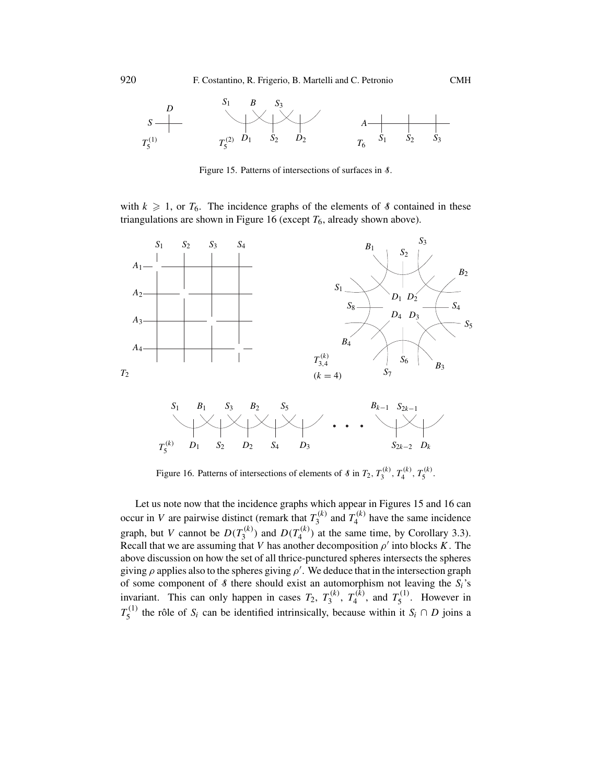<span id="page-17-0"></span>

Figure 15. Patterns of intersections of surfaces in  $\delta$ .

with  $k \geq 1$ , or  $T_6$ . The incidence graphs of the elements of *§* contained in these triangulations are shown in Figure 16 (except  $T_6$ , already shown above).



Figure 16. Patterns of intersections of elements of 8 in  $T_2, T_3^{(\kappa)}, T_4^{(\kappa)}, T_5^{(\kappa)}$ .

Let us note now that the incidence graphs which appear in Figures 15 and 16 can occur in *V* are pairwise distinct (remark that  $T_3^{(k)}$  and  $T_4^{(k)}$  have the same incidence graph, but *V* cannot be  $D(T_3^{(k)})$  and  $D(T_4^{(k)})$  at the same time, by Corollary [3.3\)](#page-13-0).<br>Recall that we are assuming that *V* has another decomposition of into blocks K. The Recall that we are assuming that *V* has another decomposition  $\rho'$  into blocks *K*. The above discussion on how the set of all thrice-punctured spheres intersects the spheres giving  $\rho$  applies also to the spheres giving  $\rho'$ . We deduce that in the intersection graph of some component of  $\mathcal{R}$  there should exist an automorphism not leaving the S.'s of some component of S there should exist an automorphism not leaving the *S<sub>i</sub>*'s<br>invariant. This can only happen in cases  $T_1$ ,  $T^{(k)}$ ,  $T^{(k)}$  and  $T^{(1)}$ . Hawever, in invariant. This can only happen in cases  $T_2$ ,  $T_3^{(k)}$ ,  $T_4^{(k)}$ , and  $T_5^{(1)}$ . However in  $T_5^{(1)}$  the rôle of *S<sub>i</sub>* can be identified intrinsically, because within it *S<sub>i</sub>* ∩ *D* joins a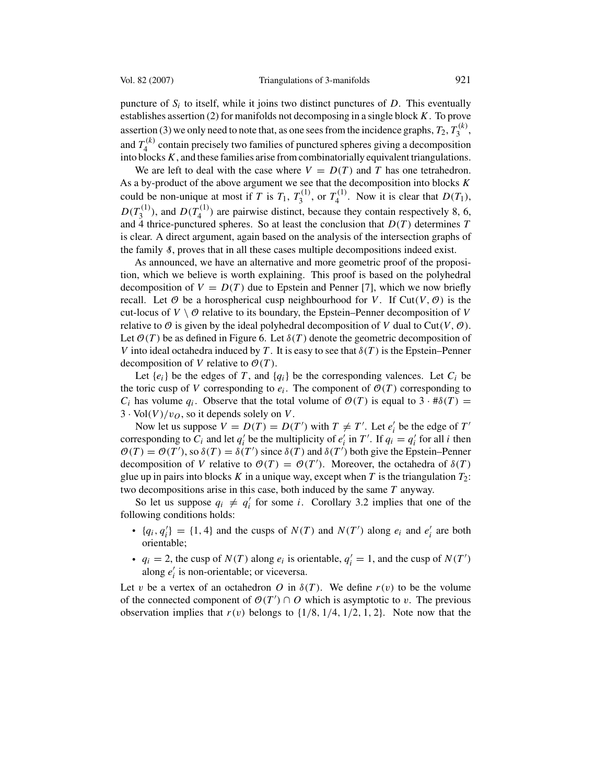puncture of  $S_i$  to itself, while it joins two distinct punctures of  $D$ . This eventually establishes assertion (2) for manifolds not decomposing in a single block *K*. To prove assertion (3) we only need to note that, as one sees from the incidence graphs,  $T_2$ ,  $T_3^{(k)}$ , and  $T_4^{(k)}$  contain precisely two families of punctured spheres giving a decomposition<br>into blocks  $K$  and these families arise from combinatorially equivalent triangulations into blocks*K*, and these families arise from combinatorially equivalent triangulations.

We are left to deal with the case where  $V = D(T)$  and *T* has one tetrahedron. As a by-product of the above argument we see that the decomposition into blocks *K* could be non-unique at most if *T* is  $T_1$ ,  $T_3^{(1)}$ , or  $T_4^{(1)}$ . Now it is clear that  $D(T_1)$ ,  $D(T_3^{(1)})$ , and  $D(T_4^{(1)})$  are pairwise distinct, because they contain respectively 8, 6, and 4 thrice-punctured spheres. So at least the conclusion that  $D(T)$  determines T and 4 thrice-punctured spheres. So at least the conclusion that  $D(T)$  determines *T* is clear. A direct argument, again based on the analysis of the intersection graphs of the family  $\delta$ , proves that in all these cases multiple decompositions indeed exist.

As announced, we have an alternative and more geometric proof of the proposition, which we believe is worth explaining. This proof is based on the polyhedral decomposition of  $V = D(T)$  due to Epstein and Penner [\[7\]](#page-29-0), which we now briefly recall. Let  $\emptyset$  be a horospherical cusp neighbourhood for *V*. If Cut(*V*,  $\emptyset$ ) is the cut-locus of  $V \setminus \mathcal{O}$  relative to its boundary, the Epstein–Penner decomposition of V relative to  $\Theta$  is given by the ideal polyhedral decomposition of *V* dual to Cut(*V*,  $\Theta$ ). Let  $\mathcal{O}(T)$  be as defined in Figure [6.](#page-12-0) Let  $\delta(T)$  denote the geometric decomposition of *V* into ideal octahedra induced by *T*. It is easy to see that  $\delta(T)$  is the Epstein–Penner decomposition of *V* relative to  $O(T)$ .

Let  $\{e_i\}$  be the edges of *T*, and  $\{q_i\}$  be the corresponding valences. Let  $C_i$  be the toric cusp of *V* corresponding to  $e_i$ . The component of  $O(T)$  corresponding to *C<sub>i</sub>* has volume  $q_i$ . Observe that the total volume of  $\mathcal{O}(T)$  is equal to  $3 \cdot #\delta(T) =$  $3 \cdot \text{Vol}(V)/v_Q$ , so it depends solely on *V*.

Now let us suppose  $V = D(T) = D(T')$  with  $T \neq T'$ . Let  $e'_i$  be the edge of  $T'$  responding to  $C_i$  and let  $a'_i$  be the multiplicity of  $e'_i$  in  $T'$ . If  $a_i = a'_i$  for all *i* then corresponding to  $C_i$  and let  $q'_i$  be the multiplicity of  $e'_i$  in  $T'$ . If  $q'_i = q'_i$  for all *i* then  $\mathcal{O}(T) = \mathcal{O}(T')$  so  $\delta(T) = \delta(T')$  since  $\delta(T)$  and  $\delta(T')$  both give the Enstein-Penner  $\mathcal{O}(T) = \mathcal{O}(T')$ , so  $\delta(T) = \delta(T')$  since  $\delta(T)$  and  $\delta(T')$  both give the Epstein–Penner decomposition of V relative to  $\mathcal{O}(T) = \mathcal{O}(T')$ . Moreover, the octahedra of  $\delta(T)$ decomposition of *V* relative to  $\mathcal{O}(T) = \mathcal{O}(T')$ . Moreover, the octahedra of  $\delta(T)$  glue up in pairs into blocks *K* in a unique way except when *T* is the triangulation *T*<sub>2</sub>. glue up in pairs into blocks  $K$  in a unique way, except when  $T$  is the triangulation  $T_2$ : two decompositions arise in this case, both induced by the same *T* anyway.

So let us suppose  $q_i \neq q'_i$  for some *i*. Corollary [3.2](#page-12-0) implies that one of the owing conditions holds: following conditions holds:

- ${q_i, q'_i} = {1, 4}$  and the cusps of  $N(T)$  and  $N(T')$  along  $e_i$  and  $e'_i$  are both orientable: orientable;
- $q_i = 2$ , the cusp of  $N(T)$  along  $e_i$  is orientable,  $q'_i = 1$ , and the cusp of  $N(T')$  along  $e'_i$  is non-orientable; or viceversa along  $e'_i$  is non-orientable; or viceversa.

Let *v* be a vertex of an octahedron *O* in  $\delta(T)$ . We define  $r(v)$  to be the volume of the connected component of  $\mathcal{O}(T') \cap O$  which is asymptotic to *v*. The previous observation implies that  $r(v)$  belongs to  $\{1/8, 1/4, 1/2, 1, 2\}$ . Note now that the observation implies that  $r(v)$  belongs to  $\{1/8, 1/4, 1/2, 1, 2\}$ . Note now that the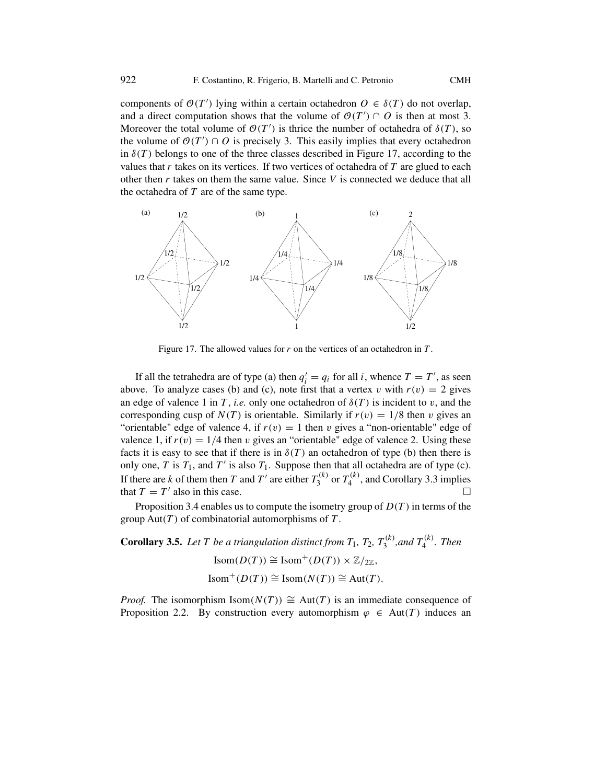<span id="page-19-0"></span>components of  $O(T')$  lying within a certain octahedron  $O \in \delta(T')$  do not overlap, and a direct computation shows that the volume of  $O(T') \cap O$  is then at most 3.<br>Moreover the total volume of  $O(T')$  is thrice the number of octahedra of  $\lambda(T)$ , so Moreover the total volume of  $\mathcal{O}(T')$  is thrice the number of octahedra of  $\delta(T)$ , so the volume of  $\mathcal{O}(T') \cap \Omega$  is precisely 3. This easily implies that every octahedron the volume of  $\mathcal{O}(T') \cap O$  is precisely 3. This easily implies that every octahedron<br>in  $\mathcal{S}(T)$  belongs to one of the three classes described in Figure 17, according to the in  $\delta(T)$  belongs to one of the three classes described in Figure 17, according to the values that *r* takes on its vertices. If two vertices of octahedra of *T* are glued to each other then *r* takes on them the same value. Since *V* is connected we deduce that all the octahedra of *T* are of the same type.



Figure 17. The allowed values for *r* on the vertices of an octahedron in *T* .

If all the tetrahedra are of type (a) then  $q'_i = q_i$  for all *i*, whence  $T = T'$ , as seen<br>ve To analyze cases (b) and (c) note first that a vertex *v* with  $r(v) = 2$  gives above. To analyze cases (b) and (c), note first that a vertex *v* with  $r(v) = 2$  gives an edge of valence 1 in *T*, *i.e.* only one octahedron of  $\delta(T)$  is incident to *v*, and the corresponding cusp of  $N(T)$  is orientable. Similarly if  $r(v) = 1/8$  then *v* gives an "orientable" edge of valence 4, if  $r(v) = 1$  then *v* gives a "non-orientable" edge of valence 1, if  $r(v) = 1/4$  then *v* gives an "orientable" edge of valence 2. Using these facts it is easy to see that if there is in  $\delta(T)$  an octahedron of type (b) then there is only one, *T* is  $T_1$ , and  $T'$  is also  $T_1$ . Suppose then that all octahedra are of type (c). If there are *k* of them then *T* and *T'* are either  $T_3^{(k)}$  or  $T_4^{(k)}$ , and Corollary [3.3](#page-13-0) implies that  $T = T'$  also in this case. that  $T = T'$  also in this case.

Proposition [3.4](#page-13-0) enables us to compute the isometry group of  $D(T)$  in terms of the <br>up  $Aut(T)$  of combinatorial automorphisms of  $T$ group  $Aut(T)$  of combinatorial automorphisms of  $T$ .

**Corollary 3.5.** *Let T be a triangulation distinct from*  $T_1$ *,*  $T_2$ *,*  $T_3^{(k)}$ *, and*  $T_4^{(k)}$ *. Then*  $\text{Isom}(D(T)) \cong \text{Isom}^+(D(T)) \times \mathbb{Z}/_{2\mathbb{Z}}$  $Isom^+(D(T)) \cong Isom(N(T)) \cong Aut(T)$ .

*Proof.* The isomorphism Isom $(N(T)) \cong$  Aut $(T)$  is an immediate consequence of Proposition [2.2.](#page-7-0) By construction every automorphism  $\varphi \in Aut(T)$  induces an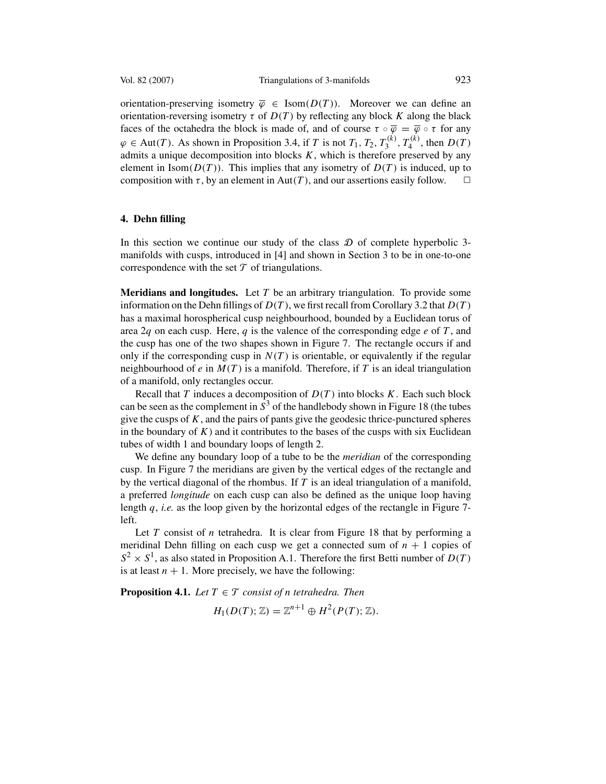<span id="page-20-0"></span>orientation-preserving isometry  $\overline{\varphi} \in \text{Isom}(D(T))$ . Moreover we can define an orientation-reversing isometry  $\tau$  of  $D(T)$  by reflecting any block K along the black faces of the octahedra the block is made of, and of course  $\tau \circ \overline{\varphi} = \overline{\varphi} \circ \tau$  for any  $\varphi \in \text{Aut}(T)$ . As shown in Proposition [3.4,](#page-13-0) if *T* is not  $T_1, T_2, T_3^{(k)}, T_4^{(k)}$ , then  $D(T)$  admits a unique decomposition into blocks *K*, which is therefore preserved by any  $\frac{1}{3}$ ,  $I_4$ admits a unique decomposition into blocks *K*, which is therefore preserved by any element in  $\text{Isom}(D(T))$ . This implies that any isometry of  $D(T)$  is induced up to element in Isom( $D(T)$ ). This implies that any isometry of  $D(T)$  is induced, up to composition with  $\tau$ , by an element in Aut(T), and our assertions easily follow. composition with  $\tau$ , by an element in Aut $(T)$ , and our assertions easily follow.

#### **4. Dehn filling**

In this section we continue our study of the class  $\mathcal D$  of complete hyperbolic 3manifolds with cusps, introduced in [\[4\]](#page-29-0) and shown in Section [3](#page-10-0) to be in one-to-one correspondence with the set  $\mathcal T$  of triangulations.

**Meridians and longitudes.** Let *T* be an arbitrary triangulation. To provide some information on the Dehn fillings of *D(T )*, we first recall from Corollary [3.2](#page-12-0) that *D(T )* has a maximal horospherical cusp neighbourhood, bounded by a Euclidean torus of area 2*q* on each cusp. Here, *q* is the valence of the corresponding edge *e* of *T* , and the cusp has one of the two shapes shown in Figure [7.](#page-13-0) The rectangle occurs if and only if the corresponding cusp in  $N(T)$  is orientable, or equivalently if the regular neighbourhood of *e* in *M(T )* is a manifold. Therefore, if *T* is an ideal triangulation of a manifold, only rectangles occur.

Recall that *T* induces a decomposition of *D(T )* into blocks *K*. Each such block can be seen as the complement in  $S<sup>3</sup>$  of the handlebody shown in Figure [18](#page-21-0) (the tubes give the cusps of  $K$ , and the pairs of pants give the geodesic thrice-punctured spheres in the boundary of  $K$ ) and it contributes to the bases of the cusps with six Euclidean tubes of width 1 and boundary loops of length 2.

We define any boundary loop of a tube to be the *meridian* of the corresponding cusp. In Figure [7](#page-13-0) the meridians are given by the vertical edges of the rectangle and by the vertical diagonal of the rhombus. If *T* is an ideal triangulation of a manifold, a preferred *longitude* on each cusp can also be defined as the unique loop having length *q*, *i.e.* as the loop given by the horizontal edges of the rectangle in Figure [7](#page-13-0) left.

Let *T* consist of *n* tetrahedra. It is clear from Figure [18](#page-21-0) that by performing a meridinal Dehn filling on each cusp we get a connected sum of  $n + 1$  copies of  $S^2 \times S^1$ , as also stated in Proposition [A.1.](#page-28-0) Therefore the first Betti number of  $D(T)$ is at least  $n + 1$ . More precisely, we have the following:

**Proposition 4.1.** *Let*  $T \in \mathcal{T}$  *consist of n tetrahedra. Then* 

$$
H_1(D(T); \mathbb{Z}) = \mathbb{Z}^{n+1} \oplus H^2(P(T); \mathbb{Z}).
$$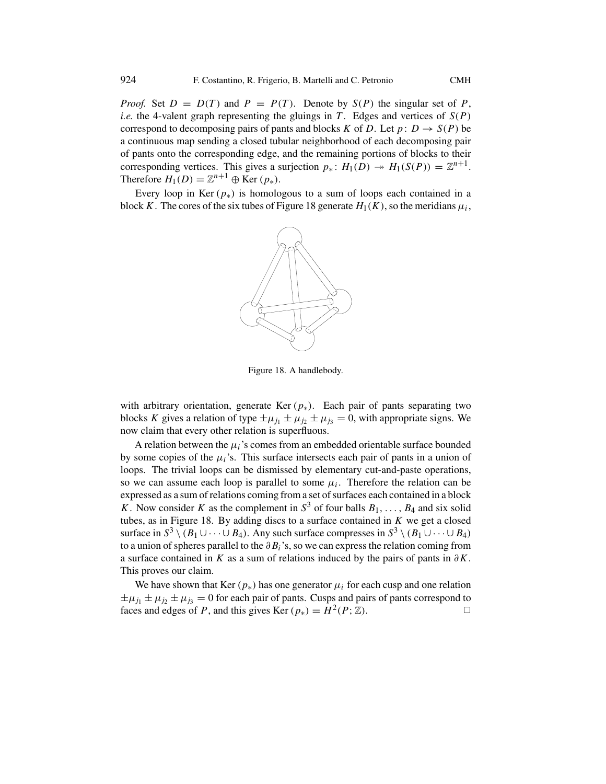<span id="page-21-0"></span>*Proof.* Set  $D = D(T)$  and  $P = P(T)$ . Denote by  $S(P)$  the singular set of P, *i.e.* the 4-valent graph representing the gluings in T. Edges and vertices of  $S(P)$ correspond to decomposing pairs of pants and blocks *K* of *D*. Let  $p: D \to S(P)$  be a continuous map sending a closed tubular neighborhood of each decomposing pair of pants onto the corresponding edge, and the remaining portions of blocks to their corresponding vertices. This gives a surjection  $p_*\colon H_1(D) \to H_1(S(P)) = \mathbb{Z}^{n+1}$ . Therefore  $H_1(D) = \mathbb{Z}^{n+1} \oplus \text{Ker}(p_*)$ .

Every loop in Ker  $(p_*)$  is homologous to a sum of loops each contained in a block *K*. The cores of the six tubes of Figure 18 generate  $H_1(K)$ , so the meridians  $\mu_i$ ,



Figure 18. A handlebody.

with arbitrary orientation, generate Ker  $(p_*)$ . Each pair of pants separating two blocks *K* gives a relation of type  $\pm \mu_{j_1} \pm \mu_{j_2} \pm \mu_{j_3} = 0$ , with appropriate signs. We now claim that every other relation is superfluous.

A relation between the  $\mu_i$ 's comes from an embedded orientable surface bounded by some copies of the  $\mu_i$ 's. This surface intersects each pair of pants in a union of loops. The trivial loops can be dismissed by elementary cut-and-paste operations, so we can assume each loop is parallel to some  $\mu_i$ . Therefore the relation can be expressed as a sum of relations coming from a set of surfaces each contained in a block *K*. Now consider *K* as the complement in  $S^3$  of four balls  $B_1, \ldots, B_4$  and six solid tubes, as in Figure 18. By adding discs to a surface contained in *K* we get a closed surface in  $S^3 \setminus (B_1 \cup \cdots \cup B_4)$ . Any such surface compresses in  $S^3 \setminus (B_1 \cup \cdots \cup B_4)$ to a union of spheres parallel to the *∂Bi*'s, so we can express the relation coming from a surface contained in *K* as a sum of relations induced by the pairs of pants in *∂K*. This proves our claim.

We have shown that Ker  $(p_*)$  has one generator  $\mu_i$  for each cusp and one relation  $\pm \mu_{j_1} \pm \mu_{j_2} \pm \mu_{j_3} = 0$  for each pair of pants. Cusps and pairs of pants correspond to faces and edges of P, and this gives Ker  $(p_*) = H^2(P; \mathbb{Z})$ . faces and edges of *P*, and this gives Ker  $(p_*) = H^2(P; \mathbb{Z})$ .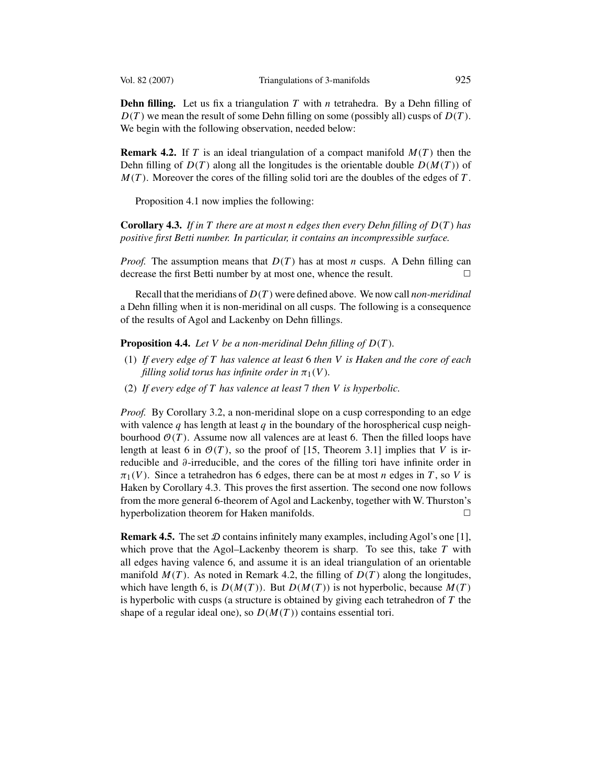<span id="page-22-0"></span>

**Dehn filling.** Let us fix a triangulation *T* with *n* tetrahedra. By a Dehn filling of  $D(T)$  we mean the result of some Dehn filling on some (possibly all) cusps of  $D(T)$ . We begin with the following observation, needed below:

**Remark 4.2.** If *T* is an ideal triangulation of a compact manifold  $M(T)$  then the Dehn filling of  $D(T)$  along all the longitudes is the orientable double  $D(M(T))$  of  $M(T)$ . Moreover the cores of the filling solid tori are the doubles of the edges of  $T$ .

Proposition [4.1](#page-20-0) now implies the following:

**Corollary 4.3.** *If in T there are at most n edges then every Dehn filling of D(T ) has positive first Betti number. In particular, it contains an incompressible surface.*

*Proof.* The assumption means that  $D(T)$  has at most *n* cusps. A Dehn filling can decrease the first Betti number by at most one, whence the result decrease the first Betti number by at most one, whence the result.

Recall that the meridians of *D(T )* were defined above. We now call *non-meridinal* a Dehn filling when it is non-meridinal on all cusps. The following is a consequence of the results of Agol and Lackenby on Dehn fillings.

**Proposition 4.4.** *Let V be a non-meridinal Dehn filling of D(T ).*

- (1) *If every edge of T has valence at least* <sup>6</sup> *then V is Haken and the core of each filling solid torus has infinite order in*  $\pi_1(V)$ *.*
- (2) *If every edge of T has valence at least* <sup>7</sup> *then V is hyperbolic.*

*Proof.* By Corollary [3.2,](#page-12-0) a non-meridinal slope on a cusp corresponding to an edge with valence  $q$  has length at least  $q$  in the boundary of the horospherical cusp neighbourhood  $\mathcal{O}(T)$ . Assume now all valences are at least 6. Then the filled loops have length at least 6 in  $\mathcal{O}(T)$ , so the proof of [\[15,](#page-30-0) Theorem 3.1] implies that *V* is irreducible and *∂*-irreducible, and the cores of the filling tori have infinite order in  $\pi_1(V)$ . Since a tetrahedron has 6 edges, there can be at most *n* edges in *T*, so *V* is Haken by Corollary 4.3. This proves the first assertion. The second one now follows from the more general 6-theorem of Agol and Lackenby, together with W. Thurston's hyperbolization theorem for Haken manifolds.  $\Box$ 

**Remark 4.5.** The set  $D$  contains infinitely many examples, including Agol's one [\[1\]](#page-29-0), which prove that the Agol–Lackenby theorem is sharp. To see this, take *T* with all edges having valence 6, and assume it is an ideal triangulation of an orientable manifold  $M(T)$ . As noted in Remark 4.2, the filling of  $D(T)$  along the longitudes, which have length 6, is  $D(M(T))$ . But  $D(M(T))$  is not hyperbolic, because  $M(T)$ is hyperbolic with cusps (a structure is obtained by giving each tetrahedron of *T* the shape of a regular ideal one), so  $D(M(T))$  contains essential tori.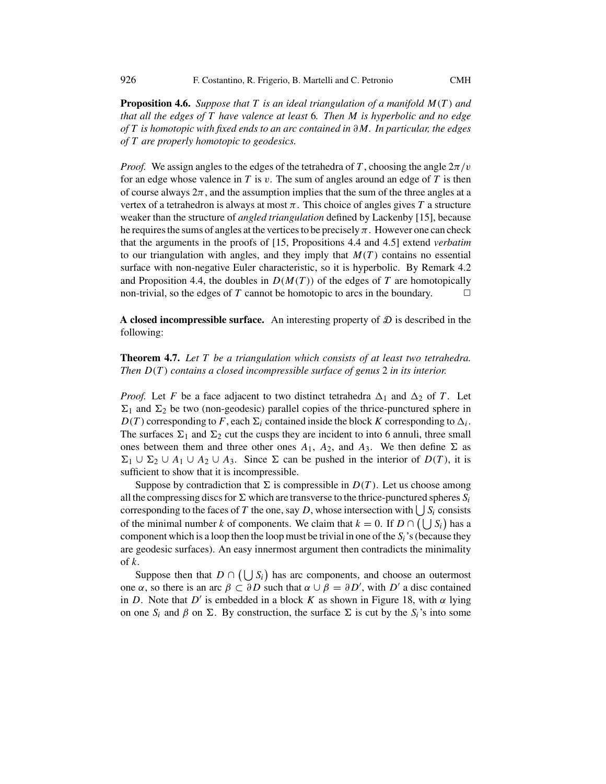**Proposition 4.6.** *Suppose that T is an ideal triangulation of a manifold M(T ) and that all the edges of T have valence at least* <sup>6</sup>*. Then M is hyperbolic and no edge of T is homotopic with fixed ends to an arc contained in ∂M. In particular, the edges of T are properly homotopic to geodesics.*

*Proof.* We assign angles to the edges of the tetrahedra of T, choosing the angle  $2\pi/v$ for an edge whose valence in *T* is *v*. The sum of angles around an edge of *T* is then of course always  $2\pi$ , and the assumption implies that the sum of the three angles at a vertex of a tetrahedron is always at most  $\pi$ . This choice of angles gives  $T$  a structure weaker than the structure of *angled triangulation* defined by Lackenby [\[15\]](#page-30-0), because he requires the sums of angles at the vertices to be precisely  $\pi$ . However one can check that the arguments in the proofs of [\[15,](#page-30-0) Propositions 4.4 and 4.5] extend *verbatim* to our triangulation with angles, and they imply that  $M(T)$  contains no essential surface with non-negative Euler characteristic, so it is hyperbolic. By Remark [4.2](#page-22-0) and Proposition [4.4,](#page-22-0) the doubles in  $D(M(T))$  of the edges of *T* are homotopically<br>non-trivial so the edges of *T* cannot be homotopic to arcs in the boundary non-trivial, so the edges of  $T$  cannot be homotopic to arcs in the boundary.

**A closed incompressible surface.** An interesting property of  $D$  is described in the following:

**Theorem 4.7.** *Let T be a triangulation which consists of at least two tetrahedra. Then D(T ) contains a closed incompressible surface of genus* <sup>2</sup> *in its interior.*

*Proof.* Let *F* be a face adjacent to two distinct tetrahedra  $\Delta_1$  and  $\Delta_2$  of *T*. Let  $\Sigma_1$  and  $\Sigma_2$  be two (non-geodesic) parallel copies of the thrice-punctured sphere in  $D(T)$  corresponding to *F*, each  $\Sigma_i$  contained inside the block *K* corresponding to  $\Delta_i$ . The surfaces  $\Sigma_1$  and  $\Sigma_2$  cut the cusps they are incident to into 6 annuli, three small ones between them and three other ones  $A_1$ ,  $A_2$ , and  $A_3$ . We then define  $\Sigma$  as  $\Sigma_1$  ∪  $\Sigma_2$  ∪ *A*<sub>1</sub> ∪ *A*<sub>2</sub> ∪ *A*<sub>3</sub>. Since  $\Sigma$  can be pushed in the interior of *D(T)*, it is sufficient to show that it is incompressible.

Suppose by contradiction that  $\Sigma$  is compressible in  $D(T)$ . Let us choose among all the compressing discs for  $\Sigma$  which are transverse to the thrice-punctured spheres  $S_i$ corresponding to the faces of *T* the one, say *D*, whose intersection with  $\bigcup_{i=0}^{n} S_i$  consists of the minimal number *k* of components. We alsum that  $k = 0$ . If  $D \cap (1, 1, S)$  has a of the minimal number *k* of components. We claim that  $k = 0$ . If  $D \cap (\bigcup S_i)$  has a component which is a loop then the loop must be trivial in one of the Secondary they component which is a loop then the loop must be trivial in one of the  $S_i$ 's (because they are geodesic surfaces). An easy innermost argument then contradicts the minimality are geodesic surfaces). An easy innermost argument then contradicts the minimality of *k*.

Suppose then that  $D \cap (\bigcup S_i)$  has arc components, and choose an outermost  $\alpha$  so there is an arc  $\beta \subset \partial D$  such that  $\alpha \sqcup \beta = \partial D'$  with  $D'$  a disc contained one *α*, so there is an arc  $\beta \subset \partial D$  such that  $\alpha \cup \beta = \partial D'$ , with  $D'$  a disc contained<br>in *D*. Note that *D'* is embedded in a block *K* as shown in Figure 18, with  $\alpha$  lying in *D*. Note that *D'* is embedded in a block *K* as shown in Figure [18,](#page-21-0) with  $\alpha$  lying on one  $S_i$  and  $\beta$  on  $\Sigma$ . By construction, the surface  $\Sigma$  is cut by the  $S_i$ 's into some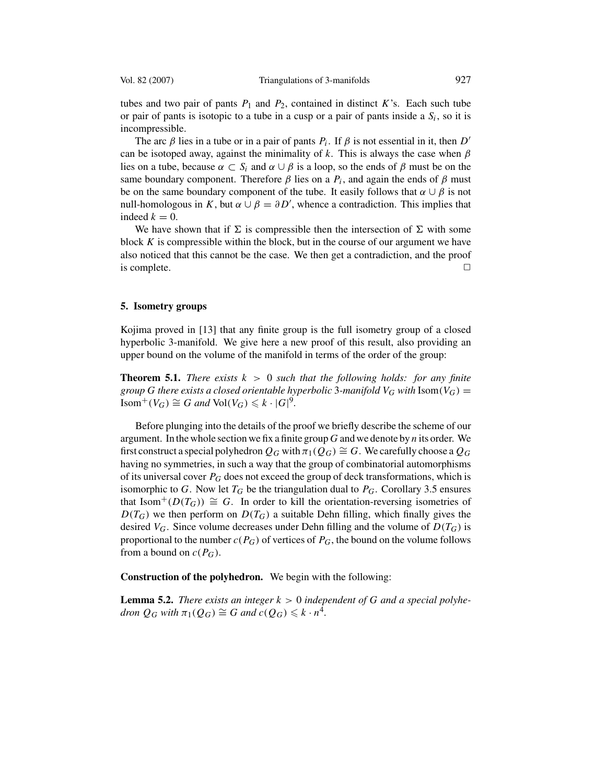<span id="page-24-0"></span>

tubes and two pair of pants  $P_1$  and  $P_2$ , contained in distinct K's. Each such tube or pair of pants is isotopic to a tube in a cusp or a pair of pants inside a  $S_i$ , so it is incompressible.

The arc  $\beta$  lies in a tube or in a pair of pants  $P_i$ . If  $\beta$  is not essential in it, then  $D'$ can be isotoped away, against the minimality of *k*. This is always the case when *β* lies on a tube, because  $\alpha \subset S_i$  and  $\alpha \cup \beta$  is a loop, so the ends of  $\beta$  must be on the same boundary component. Therefore  $\beta$  lies on a  $P_i$ , and again the ends of  $\beta$  must be on the same boundary component of the tube. It easily follows that  $\alpha \cup \beta$  is not null-homologous in *K*, but *α*  $\cup$  *β* = *∂D'*, whence a contradiction. This implies that indeed *k* = 0 indeed  $k = 0$ .

We have shown that if  $\Sigma$  is compressible then the intersection of  $\Sigma$  with some block *K* is compressible within the block, but in the course of our argument we have also noticed that this cannot be the case. We then get a contradiction, and the proof is complete.  $\Box$ 

#### **5. Isometry groups**

Kojima proved in [\[13\]](#page-30-0) that any finite group is the full isometry group of a closed hyperbolic 3-manifold. We give here a new proof of this result, also providing an upper bound on the volume of the manifold in terms of the order of the group:

**Theorem 5.1.** *There exists k >* <sup>0</sup> *such that the following holds: for any finite group G* there exists a closed orientable hyperbolic 3-manifold  $V_G$  with  $\text{Isom}(V_G)$  =  $\text{Isom}^+(V_G) \cong G$  *and*  $\text{Vol}(V_G) \leq k \cdot |G|^9$ .

Before plunging into the details of the proof we briefly describe the scheme of our argument. In the whole section we fix a finite group *G* and we denote by *n* its order. We first construct a special polyhedron  $Q_G$  with  $\pi_1(Q_G) \cong G$ . We carefully choose a  $Q_G$ having no symmetries, in such a way that the group of combinatorial automorphisms of its universal cover *PG* does not exceed the group of deck transformations, which is isomorphic to *G*. Now let  $T_G$  be the triangulation dual to  $P_G$ . Corollary [3.5](#page-19-0) ensures that Isom<sup>+</sup>( $D(T_G)$ )  $\cong G$ . In order to kill the orientation-reversing isometries of  $D(T_G)$  we then perform on  $D(T_G)$  a suitable Dehn filling, which finally gives the desired  $V_G$ . Since volume decreases under Dehn filling and the volume of  $D(T_G)$  is proportional to the number  $c(P_G)$  of vertices of  $P_G$ , the bound on the volume follows from a bound on  $c(P_G)$ .

**Construction of the polyhedron.** We begin with the following:

**Lemma 5.2.** *There exists an integer*  $k > 0$  *independent of*  $G$  *and a special polyhedron*  $Q_G$  *with*  $\pi_1(Q_G) \cong G$  *and*  $c(Q_G) \leq k \cdot n^4$ .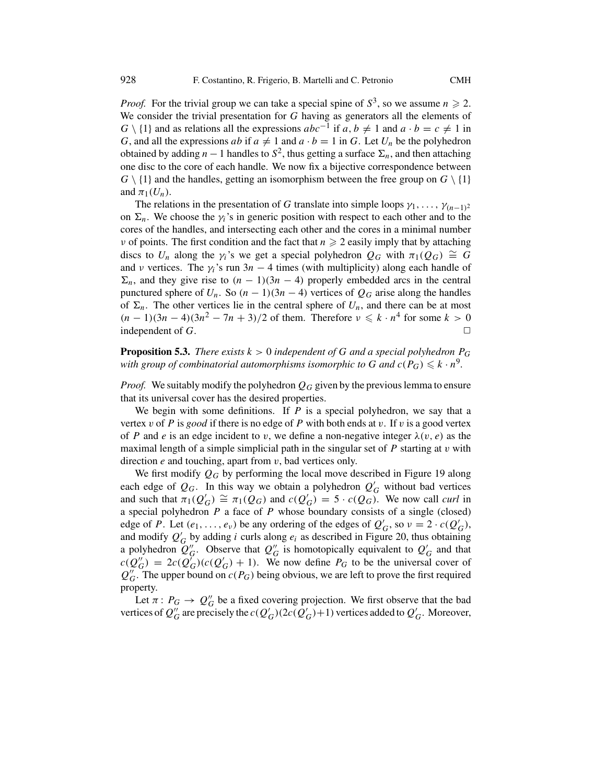<span id="page-25-0"></span>*Proof.* For the trivial group we can take a special spine of  $S^3$ , so we assume  $n \ge 2$ . We consider the trivial presentation for *G* having as generators all the elements of *G* \ {1} and as relations all the expressions  $abc^{-1}$  if  $a, b ≠ 1$  and  $a \cdot b = c ≠ 1$  in *G*, and all the expressions *ab* if  $a \neq 1$  and  $a \cdot b = 1$  in *G*. Let  $U_n$  be the polyhedron obtained by adding *n* − 1 handles to  $S^2$ , thus getting a surface  $\Sigma_n$ , and then attaching one disc to the core of each handle. We now fix a bijective correspondence between  $G \setminus \{1\}$  and the handles, getting an isomorphism between the free group on  $G \setminus \{1\}$ and  $\pi_1(U_n)$ .

The relations in the presentation of *G* translate into simple loops  $\gamma_1, \ldots, \gamma_{(n-1)^2}$ on  $\Sigma_n$ . We choose the  $\gamma_i$ 's in generic position with respect to each other and to the cores of the handles, and intersecting each other and the cores in a minimal number *ν* of points. The first condition and the fact that  $n \geq 2$  easily imply that by attaching discs to  $U_n$  along the  $\gamma_i$ 's we get a special polyhedron  $Q_G$  with  $\pi_1(Q_G) \cong G$ and *ν* vertices. The  $\gamma_i$ 's run 3*n* − 4 times (with multiplicity) along each handle of  $\Sigma_n$ , and they give rise to  $(n - 1)(3n - 4)$  properly embedded arcs in the central punctured sphere of  $U_n$ . So  $(n - 1)(3n - 4)$  vertices of  $Q_G$  arise along the handles of  $\Sigma_n$ . The other vertices lie in the central sphere of  $U_n$ , and there can be at most  $(n-1)(3n-4)(3n^2-7n+3)/2$  of them. Therefore  $\nu \leq k \cdot n^4$  for some  $k > 0$ independent of *G*.

**Proposition 5.3.** *There exists*  $k > 0$  *independent of G and a special polyhedron*  $P_G$ with group of combinatorial automorphisms isomorphic to G and  $c(P_G) \leq k \cdot n^9$ .

*Proof.* We suitably modify the polyhedron  $Q_G$  given by the previous lemma to ensure that its universal cover has the desired properties.

We begin with some definitions. If *P* is a special polyhedron, we say that a vertex *v* of *P* is *good* if there is no edge of *P* with both ends at *v*. If *v* is a good vertex of *P* and *e* is an edge incident to *v*, we define a non-negative integer  $\lambda(v, e)$  as the maximal length of a simple simplicial path in the singular set of *P* starting at *v* with direction *e* and touching, apart from *v*, bad vertices only.

We first modify *QG* by performing the local move described in Figure [19](#page-26-0) along each edge of  $Q_G$ . In this way we obtain a polyhedron  $Q'_G$  without bad vertices and such that  $\pi_1(Q'_G) \cong \pi_1(Q_G)$  and  $c(Q'_G) = 5 \cdot c(Q_G)$ . We now call *curl* in and such that  $\pi_1(Q'_G) \cong \pi_1(Q_G)$  and  $c(Q'_G) = 5 \cdot c(Q_G)$ . We now call *curl* in a special polyhedron *P* a face of *P* whose boundary consists of a single (closed) a special polyhedron *P* a face of *P* whose boundary consists of a single (closed) edge of *P*. Let  $(e_1, \ldots, e_\nu)$  be any ordering of the edges of  $Q'_G$ , so  $\nu = 2 \cdot c(Q'_G)$ , and modify  $Q'_\nu$  by adding *i* curls along  $e_i$  as described in Figure 20, thus obtaining and modify  $Q'_G$  by adding *i* curls along  $e_i$  as described in Figure [20,](#page-26-0) thus obtaining a polyhedron  $Q''_A$ . Observe that  $Q''_a$  is homotopically equivalent to  $Q'_a$  and that a polyhedron  $Q''_G$ . Observe that  $Q''_G$  is homotopically equivalent to  $Q'_G$  and that  $c(Q'') = 2c(Q')c(Q') + 1$ . We now define  $P_G$  to be the universal cover of  $c(Q''_G) = 2c(Q'_G)(c(Q'_G) + 1)$ . We now define  $P_G$  to be the universal cover of  $Q''_G$ . The upper bound on  $c(P_G)$  being obvious, we are left to prove the first required  $Q''_G$ . The upper bound on  $c(P_G)$  being obvious, we are left to prove the first required property property.

Let  $\pi: P_G \to Q''_G$  be a fixed covering projection. We first observe that the baddices of  $Q''_n$  are precisely the  $c(Q'_n)(2c(Q'_n)+1)$  vertices added to  $Q'_n$ . Moreover vertices of  $Q''_G$  are precisely the  $c(Q'_G)(2c(Q'_G)+1)$  vertices added to  $Q'_G$ . Moreover,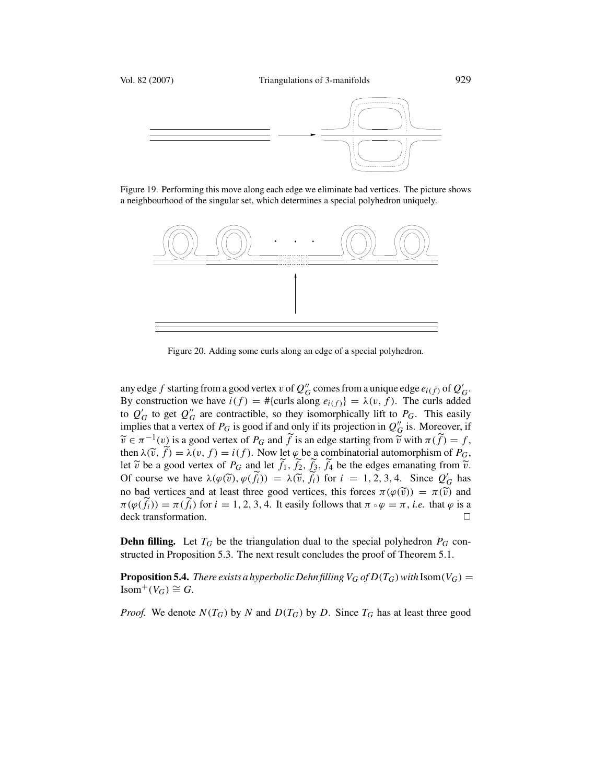<span id="page-26-0"></span>

Figure 19. Performing this move along each edge we eliminate bad vertices. The picture shows a neighbourhood of the singular set, which determines a special polyhedron uniquely.



Figure 20. Adding some curls along an edge of a special polyhedron.

any edge *f* starting from a good vertex *v* of  $Q''_G$  comes from a unique edge  $e_{i(f)}$  of  $Q'_G$ .<br>By construction we have  $i(f) = #{curls$  along  $e_{i(f)} = \lambda(y - f)$ . The curls added By construction we have  $i(f) = #$ {curls along  $e_{i(f)}$ } =  $\lambda(v, f)$ . The curls added to  $Q'_G$  to get  $Q''_G$  are contractible, so they isomorphically lift to  $P_G$ . This easily implies that a vertex of  $P_G$  is good if and only if its projection in  $Q''_G$  is. Moreover, if implies that a vertex of  $P_G$  is good if and only if its projection in  $Q''_G$  is. Moreover, if  $\widetilde{Q}_G = \pi^{-1}(\nu)$  is a good vertex of  $P_G$  and  $\widetilde{f}$  is an edge starting from  $\widetilde{Q}$  with  $\pi(\widetilde{f}) = f$ .  $\widetilde{v} \in \pi^{-1}(v)$  is a good vertex of *P<sub>G</sub>* and  $\widetilde{f}$  is an edge starting from  $\widetilde{v}$  with  $\pi(\widetilde{f}) = f$ , then  $\lambda(\widetilde{v} \cdot \widetilde{f}) = \lambda(v \cdot f) = i(f)$ . Now let  $\varphi$  be a combinatorial automorphism of *P<sub>G</sub>* then  $\lambda(\tilde{v}, f) = \lambda(v, f) = i(f)$ . Now let  $\varphi$  be a combinatorial automorphism of  $P_G$ , let  $\tilde{v}$  be a good vertex of  $P_G$  and let  $\tilde{t}_i$ ,  $\tilde{t}_j$ ,  $\tilde{t}_j$ , be the edges emanating from  $\tilde{v}_j$ let  $\tilde{v}$  be a good vertex of  $P_G$  and let  $f_1$ ,  $f_2$ ,  $f_3$ ,  $f_4$  be the edges emanating from  $\tilde{v}$ .<br>Of course we have  $\lambda(g(\tilde{v})) = \lambda(\tilde{v} + \tilde{v})$  for  $i = 1, 2, 3, 4$ . Since  $Q'$  has Of course we have  $\lambda(\varphi(\tilde{v}), \varphi(\tilde{f}_i)) = \lambda(\tilde{v}, \tilde{f}_i)$  for  $i = 1, 2, 3, 4$ . Since  $Q'_G$  has no bad vertices and at least three good vertices this forces  $\pi(\varphi(\tilde{v})) = \pi(\tilde{v})$  and no bad vertices and at least three good vertices, this forces  $\pi(\varphi(\tilde{v})) = \pi(\tilde{v})$  and  $\frac{\pi}{\sqrt{f(x)}}$   $\frac{\pi}{\sqrt{f(x)}}$   $\frac{\pi}{\sqrt{f(x)}}$   $\frac{\pi}{\sqrt{f(x)}}$   $\frac{\pi}{\sqrt{f(x)}}$   $\frac{\pi}{\sqrt{f(x)}}$   $\frac{\pi}{\sqrt{f(x)}}$   $\frac{\pi}{\sqrt{f(x)}}$   $\frac{\pi}{\sqrt{f(x)}}$   $\frac{\pi}{\sqrt{f(x)}}$  $f_i$ )) =  $\pi(f_i)$  for  $i = 1, 2, 3, 4$ . It easily follows that  $\pi \circ \varphi = \pi$ , *i.e.* that  $\varphi$  is a transformation

**Dehn filling.** Let  $T_G$  be the triangulation dual to the special polyhedron  $P_G$  constructed in Proposition [5.3.](#page-25-0) The next result concludes the proof of Theorem [5.1.](#page-24-0)

**Proposition 5.4.** *There exists a hyperbolic Dehn filling*  $V_G$  *of*  $D(T_G)$ *with* Isom $(V_G)$  = Isom<sup>+</sup>( $V$ <sup>*G*</sup>) ≅ *G*.

*Proof.* We denote  $N(T_G)$  by *N* and  $D(T_G)$  by *D*. Since  $T_G$  has at least three good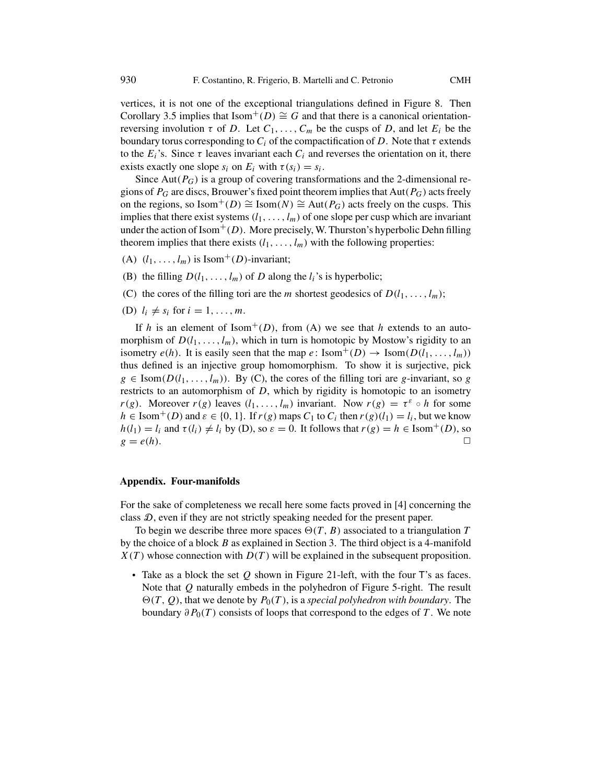vertices, it is not one of the exceptional triangulations defined in Figure [8.](#page-13-0) Then Corollary [3.5](#page-19-0) implies that Isom<sup>+</sup>(D)  $\cong$  *G* and that there is a canonical orientationreversing involution *τ* of *D*. Let  $C_1, \ldots, C_m$  be the cusps of *D*, and let  $E_i$  be the boundary torus corresponding to  $C_i$  of the compactification of  $D$ . Note that  $\tau$  extends to the  $E_i$ 's. Since  $\tau$  leaves invariant each  $C_i$  and reverses the orientation on it, there exists exactly one slope  $s_i$  on  $E_i$  with  $\tau(s_i) = s_i$ .

Since  $Aut(P_G)$  is a group of covering transformations and the 2-dimensional regions of *PG* are discs, Brouwer's fixed point theorem implies that Aut*(PG)* acts freely on the regions, so Isom<sup>+</sup>(D)  $\cong$  Isom(N)  $\cong$  Aut(P<sub>G</sub>) acts freely on the cusps. This implies that there exist systems  $(l_1, \ldots, l_m)$  of one slope per cusp which are invariant under the action of Isom<sup>+</sup>(D). More precisely, W. Thurston's hyperbolic Dehn filling theorem implies that there exists  $(l_1, \ldots, l_m)$  with the following properties:

- (A)  $(l_1, \ldots, l_m)$  is Isom<sup>+</sup>(D)-invariant;
- (B) the filling  $D(l_1, \ldots, l_m)$  of *D* along the  $l_i$ 's is hyperbolic;
- (C) the cores of the filling tori are the *m* shortest geodesics of  $D(l_1, \ldots, l_m)$ ;
- (D)  $l_i \neq s_i$  for  $i = 1, \ldots, m$ .

If *h* is an element of Isom<sup>+</sup>(*D*), from (A) we see that *h* extends to an automorphism of  $D(l_1, \ldots, l_m)$ , which in turn is homotopic by Mostow's rigidity to an isometry  $e(h)$ . It is easily seen that the map  $e: \text{Isom}^+(D) \to \text{Isom}(D(l_1, \ldots, l_m))$ thus defined is an injective group homomorphism. To show it is surjective, pick  $g \in \text{Isom}(D(l_1,\ldots,l_m))$ . By (C), the cores of the filling tori are *g*-invariant, so *g* restricts to an automorphism of *D*, which by rigidity is homotopic to an isometry *r(g)*. Moreover *r(g)* leaves  $(l_1, \ldots, l_m)$  invariant. Now  $r(g) = \tau^{\varepsilon} \circ h$  for some  $h \in \text{Isom}^+(D)$  and  $\varepsilon \in \{0, 1\}$ . If  $r(g)$  maps  $C_1$  to  $C_i$  then  $r(g)(l_1) = l_i$ , but we know *h*(*l*<sub>1</sub>) = *l<sub>i</sub>* and  $\tau$ (*l<sub>i</sub>*)  $\neq$  *l<sub>i</sub>* by (D), so  $\varepsilon = 0$ . It follows that  $r(g) = h \in \text{Isom}^+(D)$ , so  $g = e(h)$ .  $g = e(h)$ .

#### **Appendix. Four-manifolds**

For the sake of completeness we recall here some facts proved in [\[4\]](#page-29-0) concerning the class D, even if they are not strictly speaking needed for the present paper.

To begin we describe three more spaces  $\Theta(T, B)$  associated to a triangulation *T* be choice of a block *B* as explained in Section 3. The third object is a 4-manifold by the choice of a block *B* as explained in Section [3.](#page-10-0) The third object is a 4-manifold  $X(T)$  whose connection with  $D(T)$  will be explained in the subsequent proposition.

• Take as a block the set *Q* shown in Figure [21-](#page-28-0)left, with the four <sup>T</sup>'s as faces. Note that *Q* naturally embeds in the polyhedron of Figure [5-](#page-11-0)right. The result boundary  $\partial P_0(T)$  consists of loops that correspond to the edges of *T*. We note  $\Theta(T, Q)$ , that we denote by  $P_0(T)$ , is a *special polyhedron with boundary*. The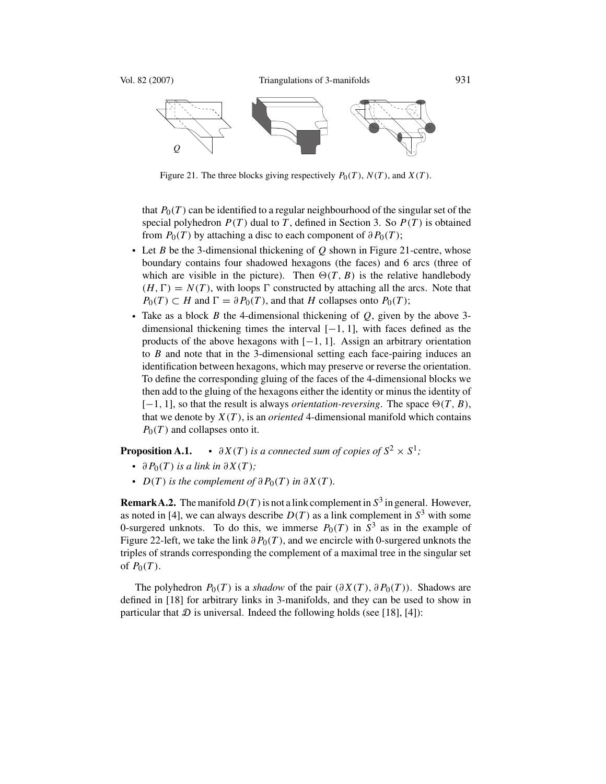<span id="page-28-0"></span>

Figure 21. The three blocks giving respectively  $P_0(T)$ ,  $N(T)$ , and  $X(T)$ .

that  $P_0(T)$  can be identified to a regular neighbourhood of the singular set of the special polyhedron  $P(T)$  dual to *T*, defined in Section [3.](#page-10-0) So  $P(T)$  is obtained from  $P_0(T)$  by attaching a disc to each component of  $\partial P_0(T)$ ;

- Let *B* be the 3-dimensional thickening of *Q* shown in Figure 21-centre, whose boundary contains four shadowed hexagons (the faces) and 6 arcs (three of which are visible in the picture). Then  $\Theta(T, B)$  is the relative handlebody  $(H, \Gamma) = N(T)$ , with loops  $\Gamma$  constructed by attaching all the arcs. Note that  $P_0(T) \subset H$  and  $\Gamma = \partial P_0(T)$ , and that *H* collapses onto  $P_0(T)$ ;  $D = N(T)$ , with loops  $\Gamma$  constructed by attaching all the arcs. Note that  $C = H$  and  $\Gamma = \partial P_0(T)$  and that *H* collapses onto  $P_0(T)$ .
- Take as a block *B* the 4-dimensional thickening of *Q*, given by the above 3 dimensional thickening times the interval [−1*,* <sup>1</sup>], with faces defined as the products of the above hexagons with [−1*,* <sup>1</sup>]. Assign an arbitrary orientation to *B* and note that in the 3-dimensional setting each face-pairing induces an identification between hexagons, which may preserve or reverse the orientation. To define the corresponding gluing of the faces of the 4-dimensional blocks we then add to the gluing of the hexagons either the identity or minus the identity of  $[-1, 1]$ , so that the result is always *orientation-reversing*. The space  $\Theta(T, B)$ , that we denote by  $X(T)$  is an *oriented A*-dimensional manifold which contains that we denote by  $X(T)$ , is an *oriented* 4-dimensional manifold which contains  $P_0(T)$  and collapses onto it.

**Proposition A.1.** •  $\partial X(T)$  *is a connected sum of copies of*  $S^2 \times S^1$ *;* 

- $\partial P_0(T)$  *is a link in*  $\partial X(T)$ *;*<br>*D*(*T*) *i d*
- $D(T)$  *is the complement of*  $\partial P_0(T)$  *in*  $\partial X(T)$ *.*

**RemarkA.2.** The manifold  $D(T)$  is not a link complement in  $S<sup>3</sup>$  in general. However, as noted in [\[4\]](#page-29-0), we can always describe  $D(T)$  as a link complement in  $S<sup>3</sup>$  with some 0-surgered unknots. To do this, we immerse  $P_0(T)$  in  $S^3$  as in the example of Figure [22-](#page-29-0)left, we take the link *∂P*0*(T )*, and we encircle with 0-surgered unknots the triples of strands corresponding the complement of a maximal tree in the singular set of  $P_0(T)$ .

The polyhedron  $P_0(T)$  is a *shadow* of the pair  $(\partial X(T), \partial P_0(T))$ . Shadows are defined in [\[18\]](#page-30-0) for arbitrary links in 3-manifolds, and they can be used to show in particular that  $D$  is universal. Indeed the following holds (see [\[18\]](#page-30-0), [\[4\]](#page-29-0)):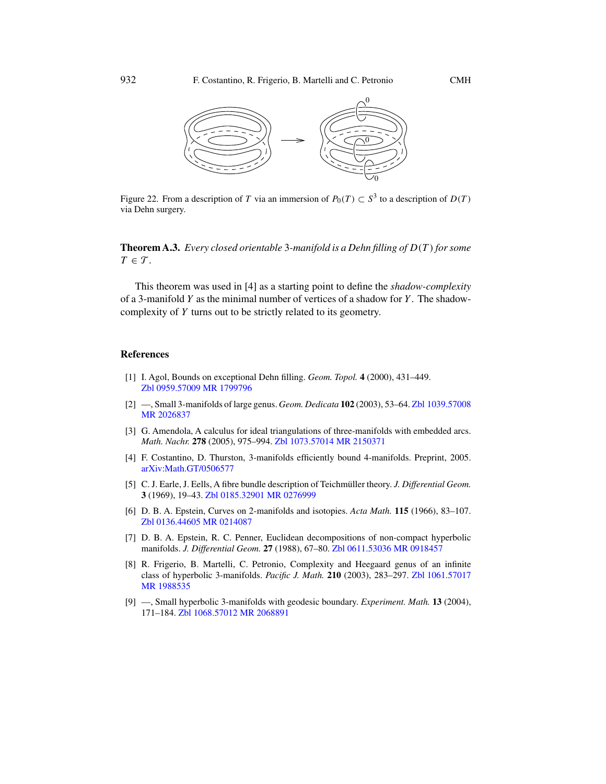<span id="page-29-0"></span>

Figure 22. From a description of *T* via an immersion of  $P_0(T) \subset S^3$  to a description of  $D(T)$ via Dehn surgery.

**Theorem A.3.** *Every closed orientable* <sup>3</sup>*-manifold is a Dehn filling of D(T ) for some*  $T \in \mathcal{T}$ .

This theorem was used in [4] as a starting point to define the *shadow-complexity* of a 3-manifold *Y* as the minimal number of vertices of a shadow for *Y* . The shadowcomplexity of *Y* turns out to be strictly related to its geometry.

#### **References**

- [1] I. Agol, Bounds on exceptional Dehn filling. *Geom. Topol.* **4** (2000), 431–449. [Zbl 0959.57009](http://www.emis.de/MATH-item?0959.57009) [MR 1799796](http://www.ams.org/mathscinet-getitem?mr=1799796)
- [2] —, Small 3-manifolds of large genus. *Geom. Dedicata* **102** (2003), 53–64. [Zbl 1039.57008](http://www.emis.de/MATH-item?1039.57008) [MR 2026837](http://www.ams.org/mathscinet-getitem?mr=2026837)
- [3] G. Amendola, A calculus for ideal triangulations of three-manifolds with embedded arcs. *Math. Nachr.* **278** (2005), 975–994. [Zbl 1073.57014](http://www.emis.de/MATH-item?1073.57014) [MR 2150371](http://www.ams.org/mathscinet-getitem?mr=2150371)
- [4] F. Costantino, D. Thurston, 3-manifolds efficiently bound 4-manifolds. Preprint, 2005. [arXiv:Math.GT/0506577](http://arxiv.org/abs/Math.GT/0506577)
- [5] C. J. Earle, J. Eells, A fibre bundle description of Teichmüller theory. *J. Differential Geom.* **3** (1969), 19–43. [Zbl 0185.32901](http://www.emis.de/MATH-item?0185.32901) [MR 0276999](http://www.ams.org/mathscinet-getitem?mr=0276999)
- [6] D. B. A. Epstein, Curves on 2-manifolds and isotopies. *Acta Math.* **115** (1966), 83–107. [Zbl 0136.44605](http://www.emis.de/MATH-item?0136.44605) [MR 0214087](http://www.ams.org/mathscinet-getitem?mr=0214087)
- [7] D. B. A. Epstein, R. C. Penner, Euclidean decompositions of non-compact hyperbolic manifolds. *J. Differential Geom.* **27** (1988), 67–80. [Zbl 0611.53036](http://www.emis.de/MATH-item?0611.53036) [MR 0918457](http://www.ams.org/mathscinet-getitem?mr=0918457)
- [8] R. Frigerio, B. Martelli, C. Petronio, Complexity and Heegaard genus of an infinite class of hyperbolic 3-manifolds. *Pacific J. Math.* **210** (2003), 283–297. [Zbl 1061.57017](http://www.emis.de/MATH-item?1061.57017) [MR 1988535](http://www.ams.org/mathscinet-getitem?mr=1988535)
- [9] —, Small hyperbolic 3-manifolds with geodesic boundary. *Experiment. Math.* **13** (2004), 171–184. [Zbl 1068.57012](http://www.emis.de/MATH-item?1068.57012) [MR 2068891](http://www.ams.org/mathscinet-getitem?mr=2068891)